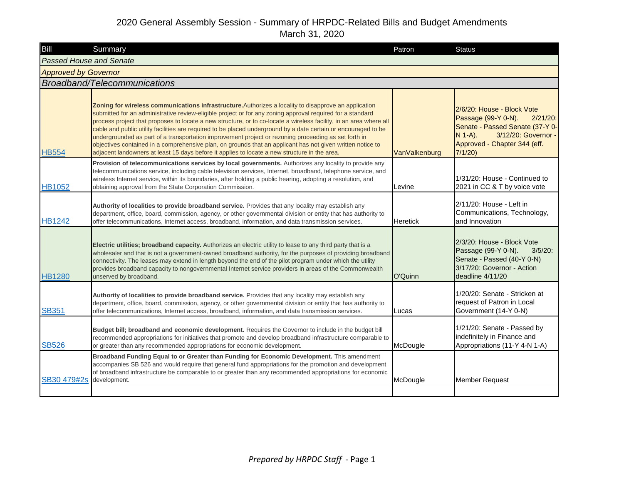| Bill                           | Summary                                                                                                                                                                                                                                                                                                                                                                                                                                                                                                                                                                                                                                                                                                                                                                                    | Patron          | <b>Status</b>                                                                                                                                                                     |
|--------------------------------|--------------------------------------------------------------------------------------------------------------------------------------------------------------------------------------------------------------------------------------------------------------------------------------------------------------------------------------------------------------------------------------------------------------------------------------------------------------------------------------------------------------------------------------------------------------------------------------------------------------------------------------------------------------------------------------------------------------------------------------------------------------------------------------------|-----------------|-----------------------------------------------------------------------------------------------------------------------------------------------------------------------------------|
| <b>Passed House and Senate</b> |                                                                                                                                                                                                                                                                                                                                                                                                                                                                                                                                                                                                                                                                                                                                                                                            |                 |                                                                                                                                                                                   |
| <b>Approved by Governor</b>    |                                                                                                                                                                                                                                                                                                                                                                                                                                                                                                                                                                                                                                                                                                                                                                                            |                 |                                                                                                                                                                                   |
|                                | Broadband/Telecommunications                                                                                                                                                                                                                                                                                                                                                                                                                                                                                                                                                                                                                                                                                                                                                               |                 |                                                                                                                                                                                   |
| <b>HB554</b>                   | <b>Zoning for wireless communications infrastructure.</b> Authorizes a locality to disapprove an application<br>submitted for an administrative review-eligible project or for any zoning approval required for a standard<br>process project that proposes to locate a new structure, or to co-locate a wireless facility, in an area where all<br>cable and public utility facilities are required to be placed underground by a date certain or encouraged to be<br>undergrounded as part of a transportation improvement project or rezoning proceeding as set forth in<br>objectives contained in a comprehensive plan, on grounds that an applicant has not given written notice to<br>adjacent landowners at least 15 days before it applies to locate a new structure in the area. | VanValkenburg   | 2/6/20: House - Block Vote<br>Passage (99-Y 0-N).<br>$2/21/20$ :<br>Senate - Passed Senate (37-Y 0-<br>3/12/20: Governor -<br>$N$ 1-A).<br>Approved - Chapter 344 (eff.<br>7/1/20 |
| <b>HB1052</b>                  | Provision of telecommunications services by local governments. Authorizes any locality to provide any<br>telecommunications service, including cable television services, Internet, broadband, telephone service, and<br>wireless Internet service, within its boundaries, after holding a public hearing, adopting a resolution, and<br>obtaining approval from the State Corporation Commission.                                                                                                                                                                                                                                                                                                                                                                                         | Levine          | 1/31/20: House - Continued to<br>2021 in CC & T by voice vote                                                                                                                     |
| <b>HB1242</b>                  | Authority of localities to provide broadband service. Provides that any locality may establish any<br>department, office, board, commission, agency, or other governmental division or entity that has authority to<br>offer telecommunications, Internet access, broadband, information, and data transmission services.                                                                                                                                                                                                                                                                                                                                                                                                                                                                  | <b>Heretick</b> | 2/11/20: House - Left in<br>Communications, Technology,<br>and Innovation                                                                                                         |
| <b>HB1280</b>                  | Electric utilities; broadband capacity. Authorizes an electric utility to lease to any third party that is a<br>wholesaler and that is not a government-owned broadband authority, for the purposes of providing broadband<br>connectivity. The leases may extend in length beyond the end of the pilot program under which the utility<br>provides broadband capacity to nongovernmental Internet service providers in areas of the Commonwealth<br>unserved by broadband.                                                                                                                                                                                                                                                                                                                | O'Quinn         | 2/3/20: House - Block Vote<br>Passage (99-Y 0-N).<br>$3/5/20$ :<br>Senate - Passed (40-Y 0-N)<br>3/17/20: Governor - Action<br>deadline 4/11/20                                   |
| <b>SB351</b>                   | Authority of localities to provide broadband service. Provides that any locality may establish any<br>department, office, board, commission, agency, or other governmental division or entity that has authority to<br>offer telecommunications, Internet access, broadband, information, and data transmission services.                                                                                                                                                                                                                                                                                                                                                                                                                                                                  | Lucas           | 1/20/20: Senate - Stricken at<br>request of Patron in Local<br>Government (14-Y 0-N)                                                                                              |
| <b>SB526</b>                   | Budget bill; broadband and economic development. Requires the Governor to include in the budget bill<br>recommended appropriations for initiatives that promote and develop broadband infrastructure comparable to<br>or greater than any recommended appropriations for economic development.                                                                                                                                                                                                                                                                                                                                                                                                                                                                                             | McDougle        | 1/21/20: Senate - Passed by<br>indefinitely in Finance and<br>Appropriations (11-Y 4-N 1-A)                                                                                       |
| SB30 479#2s                    | Broadband Funding Equal to or Greater than Funding for Economic Development. This amendment<br>accompanies SB 526 and would require that general fund appropriations for the promotion and development<br>of broadband infrastructure be comparable to or greater than any recommended appropriations for economic<br>development.                                                                                                                                                                                                                                                                                                                                                                                                                                                         | McDougle        | <b>Member Request</b>                                                                                                                                                             |
|                                |                                                                                                                                                                                                                                                                                                                                                                                                                                                                                                                                                                                                                                                                                                                                                                                            |                 |                                                                                                                                                                                   |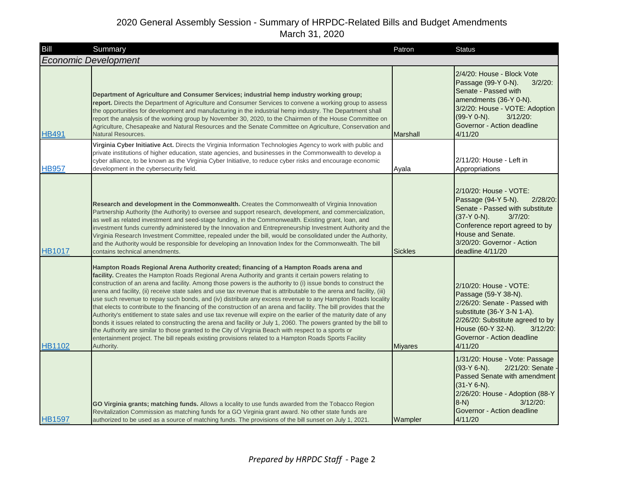| Bill          | Summary                                                                                                                                                                                                                                                                                                                                                                                                                                                                                                                                                                                                                                                                                                                                                                                                                                                                                                                                                                                                                                                                                                                                                    | Patron          | <b>Status</b>                                                                                                                                                                                                                         |
|---------------|------------------------------------------------------------------------------------------------------------------------------------------------------------------------------------------------------------------------------------------------------------------------------------------------------------------------------------------------------------------------------------------------------------------------------------------------------------------------------------------------------------------------------------------------------------------------------------------------------------------------------------------------------------------------------------------------------------------------------------------------------------------------------------------------------------------------------------------------------------------------------------------------------------------------------------------------------------------------------------------------------------------------------------------------------------------------------------------------------------------------------------------------------------|-----------------|---------------------------------------------------------------------------------------------------------------------------------------------------------------------------------------------------------------------------------------|
|               | <b>Economic Development</b>                                                                                                                                                                                                                                                                                                                                                                                                                                                                                                                                                                                                                                                                                                                                                                                                                                                                                                                                                                                                                                                                                                                                |                 |                                                                                                                                                                                                                                       |
| <b>HB491</b>  | Department of Agriculture and Consumer Services; industrial hemp industry working group;<br>report. Directs the Department of Agriculture and Consumer Services to convene a working group to assess<br>the opportunities for development and manufacturing in the industrial hemp industry. The Department shall<br>report the analysis of the working group by November 30, 2020, to the Chairmen of the House Committee on<br>Agriculture, Chesapeake and Natural Resources and the Senate Committee on Agriculture, Conservation and<br><b>Natural Resources.</b>                                                                                                                                                                                                                                                                                                                                                                                                                                                                                                                                                                                      | <b>Marshall</b> | 2/4/20: House - Block Vote<br>Passage (99-Y 0-N).<br>$3/2/20$ :<br>Senate - Passed with<br>amendments (36-Y 0-N).<br>3/2/20: House - VOTE: Adoption<br>(99-Y 0-N).<br>$3/12/20$ :<br>Governor - Action deadline<br>4/11/20            |
| <b>HB957</b>  | Virginia Cyber Initiative Act. Directs the Virginia Information Technologies Agency to work with public and<br>private institutions of higher education, state agencies, and businesses in the Commonwealth to develop a<br>cyber alliance, to be known as the Virginia Cyber Initiative, to reduce cyber risks and encourage economic<br>development in the cybersecurity field.                                                                                                                                                                                                                                                                                                                                                                                                                                                                                                                                                                                                                                                                                                                                                                          | Ayala           | 2/11/20: House - Left in<br>Appropriations                                                                                                                                                                                            |
| <b>HB1017</b> | Research and development in the Commonwealth. Creates the Commonwealth of Virginia Innovation<br>Partnership Authority (the Authority) to oversee and support research, development, and commercialization,<br>as well as related investment and seed-stage funding, in the Commonwealth. Existing grant, loan, and<br>investment funds currently administered by the Innovation and Entrepreneurship Investment Authority and the<br>Virginia Research Investment Committee, repealed under the bill, would be consolidated under the Authority,<br>and the Authority would be responsible for developing an Innovation Index for the Commonwealth. The bill<br>contains technical amendments.                                                                                                                                                                                                                                                                                                                                                                                                                                                            | Sickles         | 2/10/20: House - VOTE:<br>Passage (94-Y 5-N).<br>$2/28/20$ :<br>Senate - Passed with substitute<br>(37-Y 0-N).<br>$3/7/20$ :<br>Conference report agreed to by<br>House and Senate.<br>3/20/20: Governor - Action<br>deadline 4/11/20 |
| <b>HB1102</b> | Hampton Roads Regional Arena Authority created; financing of a Hampton Roads arena and<br>facility. Creates the Hampton Roads Regional Arena Authority and grants it certain powers relating to<br>construction of an arena and facility. Among those powers is the authority to (i) issue bonds to construct the<br>arena and facility, (ii) receive state sales and use tax revenue that is attributable to the arena and facility, (iii)<br>use such revenue to repay such bonds, and (iv) distribute any excess revenue to any Hampton Roads locality<br>that elects to contribute to the financing of the construction of an arena and facility. The bill provides that the<br>Authority's entitlement to state sales and use tax revenue will expire on the earlier of the maturity date of any<br>bonds it issues related to constructing the arena and facility or July 1, 2060. The powers granted by the bill to<br>the Authority are similar to those granted to the City of Virginia Beach with respect to a sports or<br>entertainment project. The bill repeals existing provisions related to a Hampton Roads Sports Facility<br>Authority. | <b>Miyares</b>  | 2/10/20: House - VOTE:<br>Passage (59-Y 38-N).<br>2/26/20: Senate - Passed with<br>substitute (36-Y 3-N 1-A).<br>2/26/20: Substitute agreed to by<br>House (60-Y 32-N).<br>$3/12/20$ :<br>Governor - Action deadline<br>4/11/20       |
| <b>HB1597</b> | GO Virginia grants; matching funds. Allows a locality to use funds awarded from the Tobacco Region<br>Revitalization Commission as matching funds for a GO Virginia grant award. No other state funds are<br>authorized to be used as a source of matching funds. The provisions of the bill sunset on July 1, 2021.                                                                                                                                                                                                                                                                                                                                                                                                                                                                                                                                                                                                                                                                                                                                                                                                                                       | Wampler         | 1/31/20: House - Vote: Passage<br>2/21/20: Senate<br>$(93-Y 6-N)$ .<br>Passed Senate with amendment<br>$(31-Y 6-N).$<br>2/26/20: House - Adoption (88-Y<br>$3/12/20$ :<br>$8-N$ )<br>Governor - Action deadline<br>4/11/20            |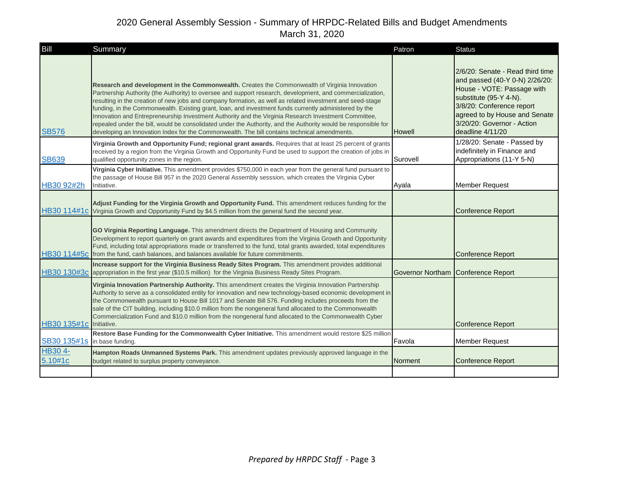| Bill                    | Summary                                                                                                                                                                                                                                                                                                                                                                                                                                                                                                                                                                                                                                                                                                                                                      | Patron        | <b>Status</b>                                                                                                                                                                                                                              |
|-------------------------|--------------------------------------------------------------------------------------------------------------------------------------------------------------------------------------------------------------------------------------------------------------------------------------------------------------------------------------------------------------------------------------------------------------------------------------------------------------------------------------------------------------------------------------------------------------------------------------------------------------------------------------------------------------------------------------------------------------------------------------------------------------|---------------|--------------------------------------------------------------------------------------------------------------------------------------------------------------------------------------------------------------------------------------------|
| <b>SB576</b>            | Research and development in the Commonwealth. Creates the Commonwealth of Virginia Innovation<br>Partnership Authority (the Authority) to oversee and support research, development, and commercialization,<br>resulting in the creation of new jobs and company formation, as well as related investment and seed-stage<br>funding, in the Commonwealth. Existing grant, loan, and investment funds currently administered by the<br>Innovation and Entrepreneurship Investment Authority and the Virginia Research Investment Committee,<br>repealed under the bill, would be consolidated under the Authority, and the Authority would be responsible for<br>developing an Innovation Index for the Commonwealth. The bill contains technical amendments. | <b>Howell</b> | 2/6/20: Senate - Read third time<br>and passed (40-Y 0-N) 2/26/20:<br>House - VOTE: Passage with<br>substitute (95-Y 4-N).<br>3/8/20: Conference report<br>agreed to by House and Senate<br>3/20/20: Governor - Action<br>deadline 4/11/20 |
| <b>SB639</b>            | Virginia Growth and Opportunity Fund; regional grant awards. Requires that at least 25 percent of grants<br>received by a region from the Virginia Growth and Opportunity Fund be used to support the creation of jobs in<br>qualified opportunity zones in the region.                                                                                                                                                                                                                                                                                                                                                                                                                                                                                      | Surovell      | 1/28/20: Senate - Passed by<br>indefinitely in Finance and<br>Appropriations (11-Y 5-N)                                                                                                                                                    |
| HB30 92#2h              | Virginia Cyber Initiative. This amendment provides \$750,000 in each year from the general fund pursuant to<br>the passage of House Bill 957 in the 2020 General Assembly sesssion, which creates the Virginia Cyber<br>Initiative.                                                                                                                                                                                                                                                                                                                                                                                                                                                                                                                          | Ayala         | <b>Member Request</b>                                                                                                                                                                                                                      |
|                         | Adjust Funding for the Virginia Growth and Opportunity Fund. This amendment reduces funding for the<br>HB30 114#1c Virginia Growth and Opportunity Fund by \$4.5 million from the general fund the second year.                                                                                                                                                                                                                                                                                                                                                                                                                                                                                                                                              |               | <b>Conference Report</b>                                                                                                                                                                                                                   |
|                         | GO Virginia Reporting Language. This amendment directs the Department of Housing and Community<br>Development to report quarterly on grant awards and expenditures from the Virginia Growth and Opportunity<br>Fund, including total appropriations made or transferred to the fund, total grants awarded, total expenditures<br>HB30 114#5c from the fund, cash balances, and balances available for future commitments.                                                                                                                                                                                                                                                                                                                                    |               | <b>Conference Report</b>                                                                                                                                                                                                                   |
|                         | Increase support for the Virginia Business Ready Sites Program. This amendment provides additional<br>HB30 130#3c appropriation in the first year (\$10.5 million) for the Virginia Business Ready Sites Program.                                                                                                                                                                                                                                                                                                                                                                                                                                                                                                                                            |               | Governor Northam Conference Report                                                                                                                                                                                                         |
| HB30 135#1c Initiative. | Virginia Innovation Partnership Authority. This amendment creates the Virginia Innovation Partnership<br>Authority to serve as a consolidated entity for innovation and new technology-based economic development in<br>the Commonwealth pursuant to House Bill 1017 and Senate Bill 576. Funding includes proceeds from the<br>sale of the CIT building, including \$10.0 million from the nongeneral fund allocated to the Commonwealth<br>Commercialization Fund and \$10.0 million from the nongeneral fund allocated to the Commonwealth Cyber                                                                                                                                                                                                          |               | <b>Conference Report</b>                                                                                                                                                                                                                   |
| SB30 135#1s             | Restore Base Funding for the Commonwealth Cyber Initiative. This amendment would restore \$25 million<br>in base funding.                                                                                                                                                                                                                                                                                                                                                                                                                                                                                                                                                                                                                                    | Favola        | <b>Member Request</b>                                                                                                                                                                                                                      |
| HB30 4-<br>5.10#1c      | Hampton Roads Unmanned Systems Park. This amendment updates previously approved language in the<br>budget related to surplus property conveyance.                                                                                                                                                                                                                                                                                                                                                                                                                                                                                                                                                                                                            | Norment       | <b>Conference Report</b>                                                                                                                                                                                                                   |
|                         |                                                                                                                                                                                                                                                                                                                                                                                                                                                                                                                                                                                                                                                                                                                                                              |               |                                                                                                                                                                                                                                            |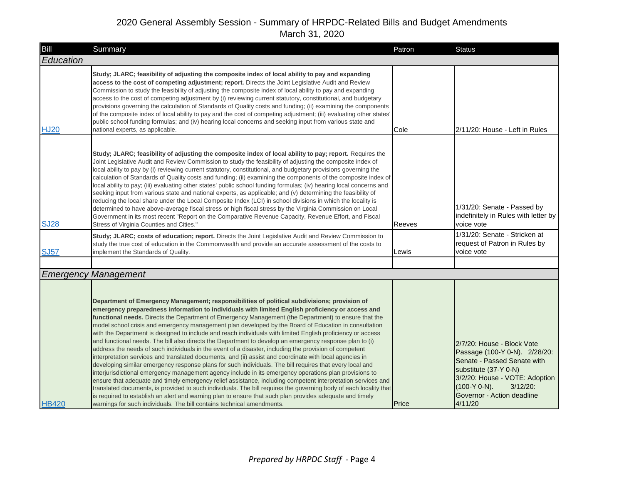| Bill         | Summary                                                                                                                                                                                                                                                                                                                                                                                                                                                                                                                                                                                                                                                                                                                                                                                                                                                                                                                                                                                                                                                                                                                                                                                                                                                                                                                                                                                                                                                                                                           | Patron | <b>Status</b>                                                                                                                                                                                                                    |
|--------------|-------------------------------------------------------------------------------------------------------------------------------------------------------------------------------------------------------------------------------------------------------------------------------------------------------------------------------------------------------------------------------------------------------------------------------------------------------------------------------------------------------------------------------------------------------------------------------------------------------------------------------------------------------------------------------------------------------------------------------------------------------------------------------------------------------------------------------------------------------------------------------------------------------------------------------------------------------------------------------------------------------------------------------------------------------------------------------------------------------------------------------------------------------------------------------------------------------------------------------------------------------------------------------------------------------------------------------------------------------------------------------------------------------------------------------------------------------------------------------------------------------------------|--------|----------------------------------------------------------------------------------------------------------------------------------------------------------------------------------------------------------------------------------|
| Education    |                                                                                                                                                                                                                                                                                                                                                                                                                                                                                                                                                                                                                                                                                                                                                                                                                                                                                                                                                                                                                                                                                                                                                                                                                                                                                                                                                                                                                                                                                                                   |        |                                                                                                                                                                                                                                  |
| <b>HJ20</b>  | Study; JLARC; feasibility of adjusting the composite index of local ability to pay and expanding<br>access to the cost of competing adjustment; report. Directs the Joint Legislative Audit and Review<br>Commission to study the feasibility of adjusting the composite index of local ability to pay and expanding<br>access to the cost of competing adjustment by (i) reviewing current statutory, constitutional, and budgetary<br>provisions governing the calculation of Standards of Quality costs and funding; (ii) examining the components<br>of the composite index of local ability to pay and the cost of competing adjustment; (iii) evaluating other states'<br>public school funding formulas; and (iv) hearing local concerns and seeking input from various state and<br>national experts, as applicable.                                                                                                                                                                                                                                                                                                                                                                                                                                                                                                                                                                                                                                                                                      | Cole   | 2/11/20: House - Left in Rules                                                                                                                                                                                                   |
| <b>SJ28</b>  | Study; JLARC; feasibility of adjusting the composite index of local ability to pay; report. Requires the<br>Joint Legislative Audit and Review Commission to study the feasibility of adjusting the composite index of<br>local ability to pay by (i) reviewing current statutory, constitutional, and budgetary provisions governing the<br>calculation of Standards of Quality costs and funding; (ii) examining the components of the composite index of<br>local ability to pay; (iii) evaluating other states' public school funding formulas; (iv) hearing local concerns and<br>seeking input from various state and national experts, as applicable; and (v) determining the feasibility of<br>reducing the local share under the Local Composite Index (LCI) in school divisions in which the locality is<br>determined to have above-average fiscal stress or high fiscal stress by the Virginia Commission on Local<br>Government in its most recent "Report on the Comparative Revenue Capacity, Revenue Effort, and Fiscal<br>Stress of Virginia Counties and Cities."                                                                                                                                                                                                                                                                                                                                                                                                                               | Reeves | 1/31/20: Senate - Passed by<br>indefinitely in Rules with letter by<br>voice vote                                                                                                                                                |
| <b>SJ57</b>  | Study; JLARC; costs of education; report. Directs the Joint Legislative Audit and Review Commission to<br>study the true cost of education in the Commonwealth and provide an accurate assessment of the costs to<br>implement the Standards of Quality.                                                                                                                                                                                                                                                                                                                                                                                                                                                                                                                                                                                                                                                                                                                                                                                                                                                                                                                                                                                                                                                                                                                                                                                                                                                          | Lewis  | 1/31/20: Senate - Stricken at<br>request of Patron in Rules by<br>voice vote                                                                                                                                                     |
|              |                                                                                                                                                                                                                                                                                                                                                                                                                                                                                                                                                                                                                                                                                                                                                                                                                                                                                                                                                                                                                                                                                                                                                                                                                                                                                                                                                                                                                                                                                                                   |        |                                                                                                                                                                                                                                  |
|              | <b>Emergency Management</b>                                                                                                                                                                                                                                                                                                                                                                                                                                                                                                                                                                                                                                                                                                                                                                                                                                                                                                                                                                                                                                                                                                                                                                                                                                                                                                                                                                                                                                                                                       |        |                                                                                                                                                                                                                                  |
| <b>HB420</b> | Department of Emergency Management; responsibilities of political subdivisions; provision of<br>emergency preparedness information to individuals with limited English proficiency or access and<br>functional needs. Directs the Department of Emergency Management (the Department) to ensure that the<br>model school crisis and emergency management plan developed by the Board of Education in consultation<br>with the Department is designed to include and reach individuals with limited English proficiency or access<br>and functional needs. The bill also directs the Department to develop an emergency response plan to (i)<br>address the needs of such individuals in the event of a disaster, including the provision of competent<br>interpretation services and translated documents, and (ii) assist and coordinate with local agencies in<br>developing similar emergency response plans for such individuals. The bill requires that every local and<br>interjurisdictional emergency management agency include in its emergency operations plan provisions to<br>ensure that adequate and timely emergency relief assistance, including competent interpretation services and<br>translated documents, is provided to such individuals. The bill requires the governing body of each locality that<br>is required to establish an alert and warning plan to ensure that such plan provides adequate and timely<br>warnings for such individuals. The bill contains technical amendments. | Price  | 2/7/20: House - Block Vote<br>Passage (100-Y 0-N). 2/28/20:<br>Senate - Passed Senate with<br>substitute (37-Y 0-N)<br>3/2/20: House - VOTE: Adoption<br>$(100-Y 0-N)$ .<br>$3/12/20$ :<br>Governor - Action deadline<br>4/11/20 |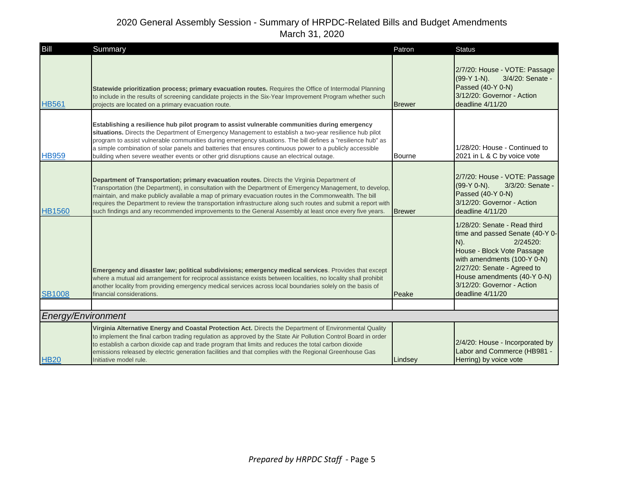| Bill               | Summary                                                                                                                                                                                                                                                                                                                                                                                                                                                                                                                                        | Patron        | <b>Status</b>                                                                                                                                                                                                                                                      |
|--------------------|------------------------------------------------------------------------------------------------------------------------------------------------------------------------------------------------------------------------------------------------------------------------------------------------------------------------------------------------------------------------------------------------------------------------------------------------------------------------------------------------------------------------------------------------|---------------|--------------------------------------------------------------------------------------------------------------------------------------------------------------------------------------------------------------------------------------------------------------------|
| <b>HB561</b>       | Statewide prioritization process; primary evacuation routes. Requires the Office of Intermodal Planning<br>to include in the results of screening candidate projects in the Six-Year Improvement Program whether such<br>projects are located on a primary evacuation route.                                                                                                                                                                                                                                                                   | <b>Brewer</b> | 2/7/20: House - VOTE: Passage<br>$(99-Y 1-N)$ .<br>3/4/20: Senate -<br>Passed (40-Y 0-N)<br>3/12/20: Governor - Action<br>deadline 4/11/20                                                                                                                         |
| <b>HB959</b>       | Establishing a resilience hub pilot program to assist vulnerable communities during emergency<br>situations. Directs the Department of Emergency Management to establish a two-year resilience hub pilot<br>program to assist vulnerable communities during emergency situations. The bill defines a "resilience hub" as<br>a simple combination of solar panels and batteries that ensures continuous power to a publicly accessible<br>building when severe weather events or other grid disruptions cause an electrical outage.             | <b>Bourne</b> | 1/28/20: House - Continued to<br>2021 in L & C by voice vote                                                                                                                                                                                                       |
| <b>HB1560</b>      | Department of Transportation; primary evacuation routes. Directs the Virginia Department of<br>Transportation (the Department), in consultation with the Department of Emergency Management, to develop,<br>maintain, and make publicly available a map of primary evacuation routes in the Commonwealth. The bill<br>requires the Department to review the transportation infrastructure along such routes and submit a report with<br>such findings and any recommended improvements to the General Assembly at least once every five years. | <b>Brewer</b> | 2/7/20: House - VOTE: Passage<br>(99-Y 0-N).<br>3/3/20: Senate -<br>Passed (40-Y 0-N)<br>3/12/20: Governor - Action<br>deadline 4/11/20                                                                                                                            |
| <b>SB1008</b>      | Emergency and disaster law; political subdivisions; emergency medical services. Provides that except<br>where a mutual aid arrangement for reciprocal assistance exists between localities, no locality shall prohibit<br>another locality from providing emergency medical services across local boundaries solely on the basis of<br>financial considerations.                                                                                                                                                                               | Peake         | 1/28/20: Senate - Read third<br>time and passed Senate (40-Y 0-<br>$N$ ).<br>2/24520:<br>House - Block Vote Passage<br>with amendments (100-Y 0-N)<br>2/27/20: Senate - Agreed to<br>House amendments (40-Y 0-N)<br>3/12/20: Governor - Action<br>deadline 4/11/20 |
|                    |                                                                                                                                                                                                                                                                                                                                                                                                                                                                                                                                                |               |                                                                                                                                                                                                                                                                    |
| Energy/Environment |                                                                                                                                                                                                                                                                                                                                                                                                                                                                                                                                                |               |                                                                                                                                                                                                                                                                    |
| <b>HB20</b>        | Virginia Alternative Energy and Coastal Protection Act. Directs the Department of Environmental Quality<br>to implement the final carbon trading regulation as approved by the State Air Pollution Control Board in order<br>to establish a carbon dioxide cap and trade program that limits and reduces the total carbon dioxide<br>emissions released by electric generation facilities and that complies with the Regional Greenhouse Gas<br>Initiative model rule.                                                                         | Lindsey       | 2/4/20: House - Incorporated by<br>Labor and Commerce (HB981 -<br>Herring) by voice vote                                                                                                                                                                           |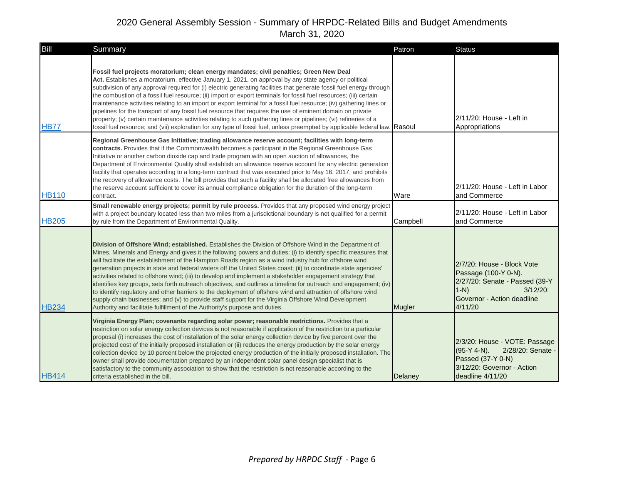| Bill         | Summary                                                                                                                                                                                                                                                                                                                                                                                                                                                                                                                                                                                                                                                                                                                                                                                                                                                                                                                                                                                         | Patron   | <b>Status</b>                                                                                                                                           |
|--------------|-------------------------------------------------------------------------------------------------------------------------------------------------------------------------------------------------------------------------------------------------------------------------------------------------------------------------------------------------------------------------------------------------------------------------------------------------------------------------------------------------------------------------------------------------------------------------------------------------------------------------------------------------------------------------------------------------------------------------------------------------------------------------------------------------------------------------------------------------------------------------------------------------------------------------------------------------------------------------------------------------|----------|---------------------------------------------------------------------------------------------------------------------------------------------------------|
| <b>HB77</b>  | Fossil fuel projects moratorium; clean energy mandates; civil penalties; Green New Deal<br>Act. Establishes a moratorium, effective January 1, 2021, on approval by any state agency or political<br>subdivision of any approval required for (i) electric generating facilities that generate fossil fuel energy through<br>the combustion of a fossil fuel resource; (ii) import or export terminals for fossil fuel resources; (iii) certain<br>maintenance activities relating to an import or export terminal for a fossil fuel resource; (iv) gathering lines or<br>pipelines for the transport of any fossil fuel resource that requires the use of eminent domain on private<br>property; (v) certain maintenance activities relating to such gathering lines or pipelines; (vi) refineries of a<br>fossil fuel resource; and (vii) exploration for any type of fossil fuel, unless preempted by applicable federal law. Rasoul                                                         |          | 2/11/20: House - Left in<br>Appropriations                                                                                                              |
| <b>HB110</b> | Regional Greenhouse Gas Initiative; trading allowance reserve account; facilities with long-term<br>contracts. Provides that if the Commonwealth becomes a participant in the Regional Greenhouse Gas<br>Initiative or another carbon dioxide cap and trade program with an open auction of allowances, the<br>Department of Environmental Quality shall establish an allowance reserve account for any electric generation<br>facility that operates according to a long-term contract that was executed prior to May 16, 2017, and prohibits<br>the recovery of allowance costs. The bill provides that such a facility shall be allocated free allowances from<br>the reserve account sufficient to cover its annual compliance obligation for the duration of the long-term<br>contract.                                                                                                                                                                                                    | Ware     | 2/11/20: House - Left in Labor<br>and Commerce                                                                                                          |
| <b>HB205</b> | Small renewable energy projects; permit by rule process. Provides that any proposed wind energy project<br>with a project boundary located less than two miles from a jurisdictional boundary is not qualified for a permit<br>by rule from the Department of Environmental Quality.                                                                                                                                                                                                                                                                                                                                                                                                                                                                                                                                                                                                                                                                                                            | Campbell | 2/11/20: House - Left in Labor<br>and Commerce                                                                                                          |
| <b>HB234</b> | Division of Offshore Wind; established. Establishes the Division of Offshore Wind in the Department of<br>Mines, Minerals and Energy and gives it the following powers and duties: (i) to identify specific measures that<br>will facilitate the establishment of the Hampton Roads region as a wind industry hub for offshore wind<br>generation projects in state and federal waters off the United States coast; (ii) to coordinate state agencies'<br>activities related to offshore wind; (iii) to develop and implement a stakeholder engagement strategy that<br>identifies key groups, sets forth outreach objectives, and outlines a timeline for outreach and engagement; (iv)<br>to identify regulatory and other barriers to the deployment of offshore wind and attraction of offshore wind<br>supply chain businesses; and (v) to provide staff support for the Virginia Offshore Wind Development<br>Authority and facilitate fulfillment of the Authority's purpose and duties. | Mugler   | 2/7/20: House - Block Vote<br>Passage (100-Y 0-N).<br>2/27/20: Senate - Passed (39-Y<br>$1-N$ )<br>$3/12/20$ :<br>Governor - Action deadline<br>4/11/20 |
| <b>HB414</b> | Virginia Energy Plan; covenants regarding solar power; reasonable restrictions. Provides that a<br>restriction on solar energy collection devices is not reasonable if application of the restriction to a particular<br>proposal (i) increases the cost of installation of the solar energy collection device by five percent over the<br>projected cost of the initially proposed installation or (ii) reduces the energy production by the solar energy<br>collection device by 10 percent below the projected energy production of the initially proposed installation. The<br>owner shall provide documentation prepared by an independent solar panel design specialist that is<br>satisfactory to the community association to show that the restriction is not reasonable according to the<br>criteria established in the bill.                                                                                                                                                         | Delaney  | 2/3/20: House - VOTE: Passage<br>$(95-Y 4-N)$ .<br>2/28/20: Senate -<br>Passed (37-Y 0-N)<br>3/12/20: Governor - Action<br>deadline 4/11/20             |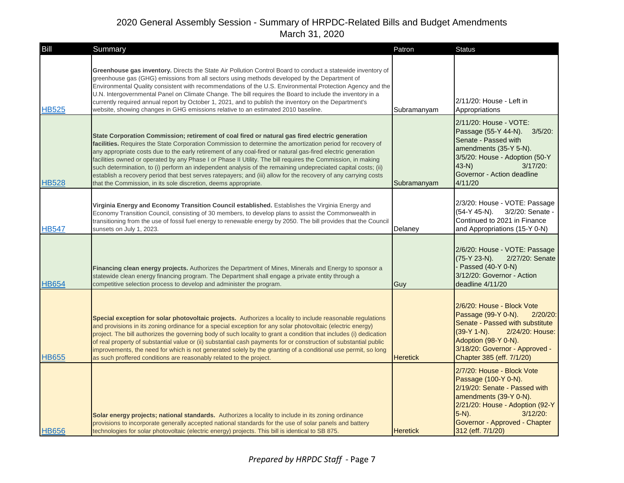| Bill         | Summary                                                                                                                                                                                                                                                                                                                                                                                                                                                                                                                                                                                                                                                                                                                                              | Patron          | <b>Status</b>                                                                                                                                                                                                                     |
|--------------|------------------------------------------------------------------------------------------------------------------------------------------------------------------------------------------------------------------------------------------------------------------------------------------------------------------------------------------------------------------------------------------------------------------------------------------------------------------------------------------------------------------------------------------------------------------------------------------------------------------------------------------------------------------------------------------------------------------------------------------------------|-----------------|-----------------------------------------------------------------------------------------------------------------------------------------------------------------------------------------------------------------------------------|
| <b>HB525</b> | Greenhouse gas inventory. Directs the State Air Pollution Control Board to conduct a statewide inventory of<br>greenhouse gas (GHG) emissions from all sectors using methods developed by the Department of<br>Environmental Quality consistent with recommendations of the U.S. Environmental Protection Agency and the<br>U.N. Intergovernmental Panel on Climate Change. The bill requires the Board to include the inventory in a<br>currently required annual report by October 1, 2021, and to publish the inventory on the Department's<br>website, showing changes in GHG emissions relative to an estimated 2010 baseline.                                                                                                                  | Subramanyam     | 2/11/20: House - Left in<br>Appropriations                                                                                                                                                                                        |
| <b>HB528</b> | State Corporation Commission; retirement of coal fired or natural gas fired electric generation<br>facilities. Requires the State Corporation Commission to determine the amortization period for recovery of<br>any appropriate costs due to the early retirement of any coal-fired or natural gas-fired electric generation<br>facilities owned or operated by any Phase I or Phase II Utility. The bill requires the Commission, in making<br>such determination, to (i) perform an independent analysis of the remaining undepreciated capital costs; (ii)<br>establish a recovery period that best serves ratepayers; and (iii) allow for the recovery of any carrying costs<br>that the Commission, in its sole discretion, deems appropriate. | Subramanyam     | 2/11/20: House - VOTE:<br>Passage (55-Y 44-N). 3/5/20:<br>Senate - Passed with<br>amendments (35-Y 5-N).<br>3/5/20: House - Adoption (50-Y<br>$43-N$<br>$3/17/20$ :<br>Governor - Action deadline<br>4/11/20                      |
| <b>HB547</b> | Virginia Energy and Economy Transition Council established. Establishes the Virginia Energy and<br>Economy Transition Council, consisting of 30 members, to develop plans to assist the Commonwealth in<br>transitioning from the use of fossil fuel energy to renewable energy by 2050. The bill provides that the Council<br>sunsets on July 1, 2023.                                                                                                                                                                                                                                                                                                                                                                                              | Delaney         | 2/3/20: House - VOTE: Passage<br>$(54-Y 45-N)$ .<br>3/2/20: Senate -<br>Continued to 2021 in Finance<br>and Appropriations (15-Y 0-N)                                                                                             |
| <b>HB654</b> | Financing clean energy projects. Authorizes the Department of Mines, Minerals and Energy to sponsor a<br>statewide clean energy financing program. The Department shall engage a private entity through a<br>competitive selection process to develop and administer the program.                                                                                                                                                                                                                                                                                                                                                                                                                                                                    | Guy             | 2/6/20: House - VOTE: Passage<br>2/27/20: Senate<br>(75-Y 23-N).<br>- Passed (40-Y 0-N)<br>3/12/20: Governor - Action<br>deadline 4/11/20                                                                                         |
| <b>HB655</b> | Special exception for solar photovoltaic projects. Authorizes a locality to include reasonable regulations<br>and provisions in its zoning ordinance for a special exception for any solar photovoltaic (electric energy)<br>project. The bill authorizes the governing body of such locality to grant a condition that includes (i) dedication<br>of real property of substantial value or (ii) substantial cash payments for or construction of substantial public<br>improvements, the need for which is not generated solely by the granting of a conditional use permit, so long<br>as such proffered conditions are reasonably related to the project.                                                                                         | <b>Heretick</b> | 2/6/20: House - Block Vote<br>Passage (99-Y 0-N).<br>2/20/20:<br>Senate - Passed with substitute<br>$(39-Y 1-N)$ .<br>2/24/20: House:<br>Adoption (98-Y 0-N).<br>3/18/20: Governor - Approved -<br>Chapter 385 (eff. 7/1/20)      |
| <b>HB656</b> | Solar energy projects; national standards. Authorizes a locality to include in its zoning ordinance<br>provisions to incorporate generally accepted national standards for the use of solar panels and battery<br>technologies for solar photovoltaic (electric energy) projects. This bill is identical to SB 875.                                                                                                                                                                                                                                                                                                                                                                                                                                  | <b>Heretick</b> | 2/7/20: House - Block Vote<br>Passage (100-Y 0-N).<br>2/19/20: Senate - Passed with<br>amendments (39-Y 0-N).<br>2/21/20: House - Adoption (92-Y<br>$5-N$ ).<br>$3/12/20$ :<br>Governor - Approved - Chapter<br>312 (eff. 7/1/20) |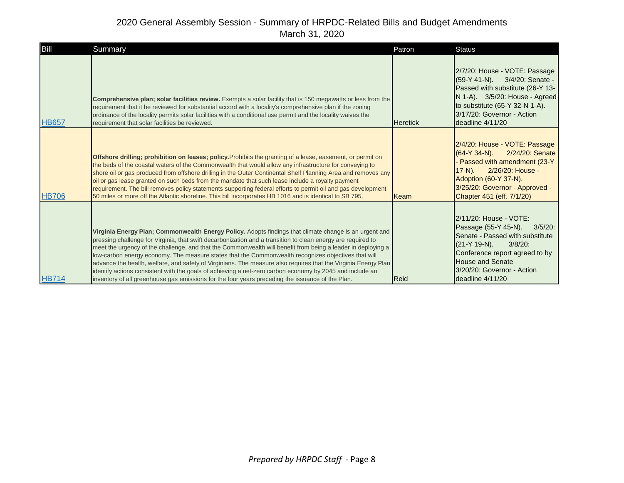| <b>Bill</b>  | Summary                                                                                                                                                                                                                                                                                                                                                                                                                                                                                                                                                                                                                                                                                                                                                                         | Patron          | <b>Status</b>                                                                                                                                                                                                                                |
|--------------|---------------------------------------------------------------------------------------------------------------------------------------------------------------------------------------------------------------------------------------------------------------------------------------------------------------------------------------------------------------------------------------------------------------------------------------------------------------------------------------------------------------------------------------------------------------------------------------------------------------------------------------------------------------------------------------------------------------------------------------------------------------------------------|-----------------|----------------------------------------------------------------------------------------------------------------------------------------------------------------------------------------------------------------------------------------------|
| <b>HB657</b> | <b>Comprehensive plan; solar facilities review.</b> Exempts a solar facility that is 150 megawatts or less from the<br>requirement that it be reviewed for substantial accord with a locality's comprehensive plan if the zoning<br>ordinance of the locality permits solar facilities with a conditional use permit and the locality waives the<br>requirement that solar facilities be reviewed.                                                                                                                                                                                                                                                                                                                                                                              | <b>Heretick</b> | 2/7/20: House - VOTE: Passage<br>$(59-Y 41-N)$ . $3/4/20$ : Senate -<br>Passed with substitute (26-Y 13-<br>N 1-A). 3/5/20: House - Agreed<br>to substitute $(65-Y 32-N 1-A)$ .<br>3/17/20: Governor - Action<br>deadline 4/11/20            |
| <b>HB706</b> | <b>Offshore drilling; prohibition on leases; policy. Prohibits the granting of a lease, easement, or permit on</b><br>the beds of the coastal waters of the Commonwealth that would allow any infrastructure for conveying to<br>shore oil or gas produced from offshore drilling in the Outer Continental Shelf Planning Area and removes any<br>oil or gas lease granted on such beds from the mandate that such lease include a royalty payment<br>requirement. The bill removes policy statements supporting federal efforts to permit oil and gas development<br>50 miles or more off the Atlantic shoreline. This bill incorporates HB 1016 and is identical to SB 795.                                                                                                   | Keam            | 2/4/20: House - VOTE: Passage<br>2/24/20: Senate<br>$(64-Y 34-N)$ .<br>Passed with amendment (23-Y<br>$17-N$ ).<br>2/26/20: House -<br>Adoption (60-Y 37-N).<br>3/25/20: Governor - Approved -<br>Chapter 451 (eff. 7/1/20)                  |
| <b>HB714</b> | Virginia Energy Plan; Commonwealth Energy Policy. Adopts findings that climate change is an urgent and<br>pressing challenge for Virginia, that swift decarbonization and a transition to clean energy are required to<br>meet the urgency of the challenge, and that the Commonwealth will benefit from being a leader in deploying a<br>low-carbon energy economy. The measure states that the Commonwealth recognizes objectives that will<br>advance the health, welfare, and safety of Virginians. The measure also requires that the Virginia Energy Plan<br>identify actions consistent with the goals of achieving a net-zero carbon economy by 2045 and include an<br>inventory of all greenhouse gas emissions for the four years preceding the issuance of the Plan. | <b>Reid</b>     | 2/11/20: House - VOTE:<br>Passage (55-Y 45-N).<br>$3/5/20$ :<br>Senate - Passed with substitute<br>(21-Y 19-N).<br>$3/8/20$ :<br>Conference report agreed to by<br><b>House and Senate</b><br>3/20/20: Governor - Action<br>deadline 4/11/20 |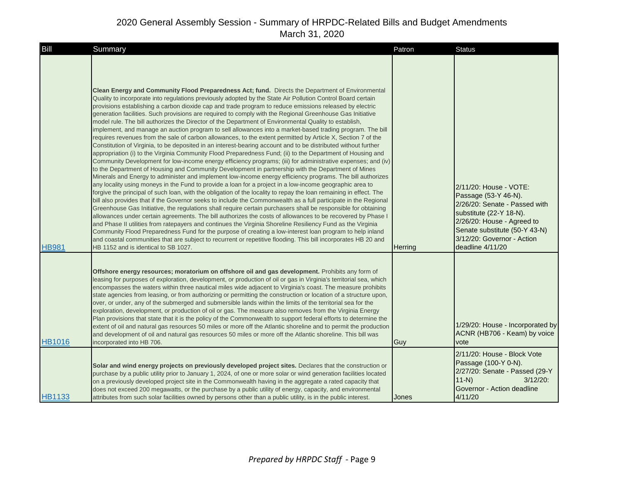| <b>Bill</b>   | Summary                                                                                                                                                                                                                                                                                                                                                                                                                                                                                                                                                                                                                                                                                                                                                                                                                                                                                                                                                                                                                                                                                                                                                                                                                                                                                                                                                                                                                                                                                                                                                                                                                                                                                                                                                                                                                                                                                                                                                                                                                                                                                                                                                                                                                                                                                                                             | Patron  | <b>Status</b>                                                                                                                                                                                                               |
|---------------|-------------------------------------------------------------------------------------------------------------------------------------------------------------------------------------------------------------------------------------------------------------------------------------------------------------------------------------------------------------------------------------------------------------------------------------------------------------------------------------------------------------------------------------------------------------------------------------------------------------------------------------------------------------------------------------------------------------------------------------------------------------------------------------------------------------------------------------------------------------------------------------------------------------------------------------------------------------------------------------------------------------------------------------------------------------------------------------------------------------------------------------------------------------------------------------------------------------------------------------------------------------------------------------------------------------------------------------------------------------------------------------------------------------------------------------------------------------------------------------------------------------------------------------------------------------------------------------------------------------------------------------------------------------------------------------------------------------------------------------------------------------------------------------------------------------------------------------------------------------------------------------------------------------------------------------------------------------------------------------------------------------------------------------------------------------------------------------------------------------------------------------------------------------------------------------------------------------------------------------------------------------------------------------------------------------------------------------|---------|-----------------------------------------------------------------------------------------------------------------------------------------------------------------------------------------------------------------------------|
| <b>HB981</b>  | <b>Clean Energy and Community Flood Preparedness Act; fund.</b> Directs the Department of Environmental<br>Quality to incorporate into regulations previously adopted by the State Air Pollution Control Board certain<br>provisions establishing a carbon dioxide cap and trade program to reduce emissions released by electric<br>generation facilities. Such provisions are required to comply with the Regional Greenhouse Gas Initiative<br>model rule. The bill authorizes the Director of the Department of Environmental Quality to establish,<br>implement, and manage an auction program to sell allowances into a market-based trading program. The bill<br>requires revenues from the sale of carbon allowances, to the extent permitted by Article X, Section 7 of the<br>Constitution of Virginia, to be deposited in an interest-bearing account and to be distributed without further<br>appropriation (i) to the Virginia Community Flood Preparedness Fund; (ii) to the Department of Housing and<br>Community Development for low-income energy efficiency programs; (iii) for administrative expenses; and (iv)<br>to the Department of Housing and Community Development in partnership with the Department of Mines<br>Minerals and Energy to administer and implement low-income energy efficiency programs. The bill authorizes<br>any locality using moneys in the Fund to provide a loan for a project in a low-income geographic area to<br>forgive the principal of such loan, with the obligation of the locality to repay the loan remaining in effect. The<br>bill also provides that if the Governor seeks to include the Commonwealth as a full participate in the Regional<br>Greenhouse Gas Initiative, the regulations shall require certain purchasers shall be responsible for obtaining<br>allowances under certain agreements. The bill authorizes the costs of allowances to be recovered by Phase I<br>and Phase II utilities from ratepayers and continues the Virginia Shoreline Resiliency Fund as the Virginia<br>Community Flood Preparedness Fund for the purpose of creating a low-interest loan program to help inland<br>and coastal communities that are subject to recurrent or repetitive flooding. This bill incorporates HB 20 and<br>HB 1152 and is identical to SB 1027. | Herring | 2/11/20: House - VOTE:<br>Passage (53-Y 46-N).<br>2/26/20: Senate - Passed with<br>substitute (22-Y 18-N).<br>2/26/20: House - Agreed to<br>Senate substitute (50-Y 43-N)<br>3/12/20: Governor - Action<br>deadline 4/11/20 |
| <b>HB1016</b> | Offshore energy resources; moratorium on offshore oil and gas development. Prohibits any form of<br>leasing for purposes of exploration, development, or production of oil or gas in Virginia's territorial sea, which<br>encompasses the waters within three nautical miles wide adjacent to Virginia's coast. The measure prohibits<br>state agencies from leasing, or from authorizing or permitting the construction or location of a structure upon,<br>over, or under, any of the submerged and submersible lands within the limits of the territorial sea for the<br>exploration, development, or production of oil or gas. The measure also removes from the Virginia Energy<br>Plan provisions that state that it is the policy of the Commonwealth to support federal efforts to determine the<br>extent of oil and natural gas resources 50 miles or more off the Atlantic shoreline and to permit the production<br>and development of oil and natural gas resources 50 miles or more off the Atlantic shoreline. This bill was<br>incorporated into HB 706.<br>Solar and wind energy projects on previously developed project sites. Declares that the construction or<br>purchase by a public utility prior to January 1, 2024, of one or more solar or wind generation facilities located                                                                                                                                                                                                                                                                                                                                                                                                                                                                                                                                                                                                                                                                                                                                                                                                                                                                                                                                                                                                                            | Guy     | 1/29/20: House - Incorporated by<br>ACNR (HB706 - Keam) by voice<br>vote<br>2/11/20: House - Block Vote<br>Passage (100-Y 0-N).<br>2/27/20: Senate - Passed (29-Y<br>$11-N$<br>$3/12/20$ :                                  |
| <b>HB1133</b> | on a previously developed project site in the Commonwealth having in the aggregate a rated capacity that<br>does not exceed 200 megawatts, or the purchase by a public utility of energy, capacity, and environmental<br>attributes from such solar facilities owned by persons other than a public utility, is in the public interest.                                                                                                                                                                                                                                                                                                                                                                                                                                                                                                                                                                                                                                                                                                                                                                                                                                                                                                                                                                                                                                                                                                                                                                                                                                                                                                                                                                                                                                                                                                                                                                                                                                                                                                                                                                                                                                                                                                                                                                                             | Jones   | Governor - Action deadline<br>4/11/20                                                                                                                                                                                       |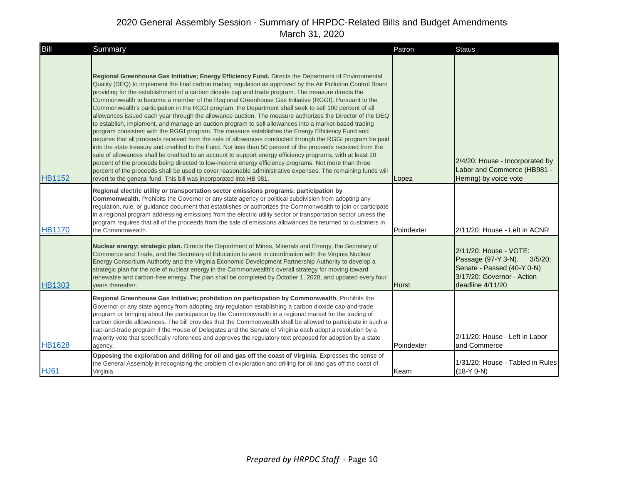| Bill          | Summary                                                                                                                                                                                                                                                                                                                                                                                                                                                                                                                                                                                                                                                                                                                                                                                                                                                                                                                                                                                                                                                                                                                                                                                                                                                                                                                                                                                                                                                                                                       | Patron     | <b>Status</b>                                                                                                                               |
|---------------|---------------------------------------------------------------------------------------------------------------------------------------------------------------------------------------------------------------------------------------------------------------------------------------------------------------------------------------------------------------------------------------------------------------------------------------------------------------------------------------------------------------------------------------------------------------------------------------------------------------------------------------------------------------------------------------------------------------------------------------------------------------------------------------------------------------------------------------------------------------------------------------------------------------------------------------------------------------------------------------------------------------------------------------------------------------------------------------------------------------------------------------------------------------------------------------------------------------------------------------------------------------------------------------------------------------------------------------------------------------------------------------------------------------------------------------------------------------------------------------------------------------|------------|---------------------------------------------------------------------------------------------------------------------------------------------|
| <b>HB1152</b> | Regional Greenhouse Gas Initiative; Energy Efficiency Fund. Directs the Department of Environmental<br>Quality (DEQ) to implement the final carbon trading regulation as approved by the Air Pollution Control Board<br>providing for the establishment of a carbon dioxide cap and trade program. The measure directs the<br>Commonwealth to become a member of the Regional Greenhouse Gas Initiative (RGGI). Pursuant to the<br>Commonwealth's participation in the RGGI program, the Department shall seek to sell 100 percent of all<br>allowances issued each year through the allowance auction. The measure authorizes the Director of the DEQ<br>to establish, implement, and manage an auction program to sell allowances into a market-based trading<br>program consistent with the RGGI program. The measure establishes the Energy Efficiency Fund and<br>requires that all proceeds received from the sale of allowances conducted through the RGGI program be paid<br>into the state treasury and credited to the Fund. Not less than 50 percent of the proceeds received from the<br>sale of allowances shall be credited to an account to support energy efficiency programs, with at least 20<br>percent of the proceeds being directed to low-income energy efficiency programs. Not more than three<br>percent of the proceeds shall be used to cover reasonable administrative expenses. The remaining funds will<br>revert to the general fund. This bill was incorporated into HB 981. | Lopez      | 2/4/20: House - Incorporated by<br>Labor and Commerce (HB981 -<br>Herring) by voice vote                                                    |
| <b>HB1170</b> | Regional electric utility or transportation sector emissions programs; participation by<br>Commonwealth. Prohibits the Governor or any state agency or political subdivision from adopting any<br>regulation, rule, or guidance document that establishes or authorizes the Commonwealth to join or participate<br>in a regional program addressing emissions from the electric utility sector or transportation sector unless the<br>program requires that all of the proceeds from the sale of emissions allowances be returned to customers in<br>the Commonwealth.                                                                                                                                                                                                                                                                                                                                                                                                                                                                                                                                                                                                                                                                                                                                                                                                                                                                                                                                        | Poindexter | 2/11/20: House - Left in ACNR                                                                                                               |
| <b>HB1303</b> | Nuclear energy; strategic plan. Directs the Department of Mines, Minerals and Energy, the Secretary of<br>Commerce and Trade, and the Secretary of Education to work in coordination with the Virginia Nuclear<br>Energy Consortium Authority and the Virginia Economic Development Partnership Authority to develop a<br>strategic plan for the role of nuclear energy in the Commonwealth's overall strategy for moving toward<br>renewable and carbon-free energy. The plan shall be completed by October 1, 2020, and updated every four<br>vears thereafter.                                                                                                                                                                                                                                                                                                                                                                                                                                                                                                                                                                                                                                                                                                                                                                                                                                                                                                                                             | Hurst      | 2/11/20: House - VOTE:<br>Passage (97-Y 3-N).<br>$3/5/20$ :<br>Senate - Passed (40-Y 0-N)<br>3/17/20: Governor - Action<br>deadline 4/11/20 |
| <b>HB1628</b> | Regional Greenhouse Gas Initiative; prohibition on participation by Commonwealth. Prohibits the<br>Governor or any state agency from adopting any regulation establishing a carbon dioxide cap-and-trade<br>program or bringing about the participation by the Commonwealth in a regional market for the trading of<br>carbon dioxide allowances. The bill provides that the Commonwealth shall be allowed to participate in such a<br>cap-and-trade program if the House of Delegates and the Senate of Virginia each adopt a resolution by a<br>majority vote that specifically references and approves the regulatory text proposed for adoption by a state<br>agency.                                                                                                                                                                                                                                                                                                                                                                                                                                                                                                                                                                                                                                                                                                                                                                                                                                     | Poindexter | 2/11/20: House - Left in Labor<br>and Commerce                                                                                              |
| <b>HJ61</b>   | Opposing the exploration and drilling for oil and gas off the coast of Virginia. Expresses the sense of<br>the General Assembly in recognizing the problem of exploration and drilling for oil and gas off the coast of<br>Virginia.                                                                                                                                                                                                                                                                                                                                                                                                                                                                                                                                                                                                                                                                                                                                                                                                                                                                                                                                                                                                                                                                                                                                                                                                                                                                          | Keam       | 1/31/20: House - Tabled in Rules<br>$(18-Y 0-N)$                                                                                            |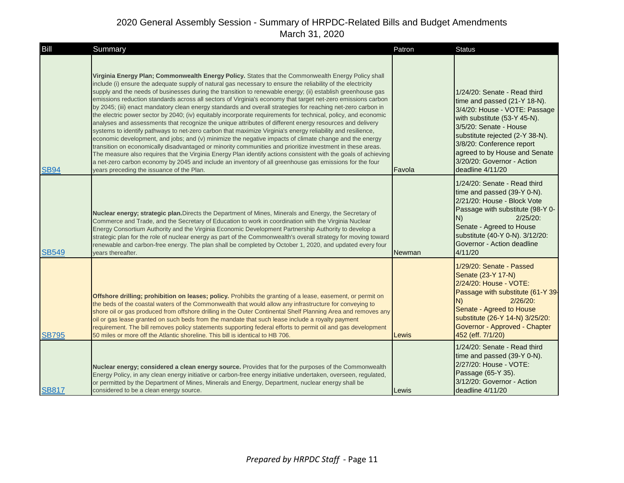| Bill         | Summary                                                                                                                                                                                                                                                                                                                                                                                                                                                                                                                                                                                                                                                                                                                                                                                                                                                                                                                                                                                                                                                                                                                                                                                                                                                                                                                                                                                                           | Patron        | <b>Status</b>                                                                                                                                                                                                                                                                                              |
|--------------|-------------------------------------------------------------------------------------------------------------------------------------------------------------------------------------------------------------------------------------------------------------------------------------------------------------------------------------------------------------------------------------------------------------------------------------------------------------------------------------------------------------------------------------------------------------------------------------------------------------------------------------------------------------------------------------------------------------------------------------------------------------------------------------------------------------------------------------------------------------------------------------------------------------------------------------------------------------------------------------------------------------------------------------------------------------------------------------------------------------------------------------------------------------------------------------------------------------------------------------------------------------------------------------------------------------------------------------------------------------------------------------------------------------------|---------------|------------------------------------------------------------------------------------------------------------------------------------------------------------------------------------------------------------------------------------------------------------------------------------------------------------|
| <b>SB94</b>  | Virginia Energy Plan; Commonwealth Energy Policy. States that the Commonwealth Energy Policy shall<br>include (i) ensure the adequate supply of natural gas necessary to ensure the reliability of the electricity<br>supply and the needs of businesses during the transition to renewable energy; (ii) establish greenhouse gas<br>emissions reduction standards across all sectors of Virginia's economy that target net-zero emissions carbon<br>by 2045; (iii) enact mandatory clean energy standards and overall strategies for reaching net-zero carbon in<br>the electric power sector by 2040; (iv) equitably incorporate requirements for technical, policy, and economic<br>analyses and assessments that recognize the unique attributes of different energy resources and delivery<br>systems to identify pathways to net-zero carbon that maximize Virginia's energy reliability and resilience,<br>economic development, and jobs; and (v) minimize the negative impacts of climate change and the energy<br>transition on economically disadvantaged or minority communities and prioritize investment in these areas.<br>The measure also requires that the Virginia Energy Plan identify actions consistent with the goals of achieving<br>a net-zero carbon economy by 2045 and include an inventory of all greenhouse gas emissions for the four<br>years preceding the issuance of the Plan. | Favola        | 1/24/20: Senate - Read third<br>time and passed (21-Y 18-N).<br>3/4/20: House - VOTE: Passage<br>with substitute (53-Y 45-N).<br>3/5/20: Senate - House<br>substitute rejected (2-Y 38-N).<br>3/8/20: Conference report<br>agreed to by House and Senate<br>3/20/20: Governor - Action<br>deadline 4/11/20 |
| <b>SB549</b> | Nuclear energy; strategic plan. Directs the Department of Mines, Minerals and Energy, the Secretary of<br>Commerce and Trade, and the Secretary of Education to work in coordination with the Virginia Nuclear<br>Energy Consortium Authority and the Virginia Economic Development Partnership Authority to develop a<br>strategic plan for the role of nuclear energy as part of the Commonwealth's overall strategy for moving toward<br>renewable and carbon-free energy. The plan shall be completed by October 1, 2020, and updated every four<br>years thereafter.                                                                                                                                                                                                                                                                                                                                                                                                                                                                                                                                                                                                                                                                                                                                                                                                                                         | <b>Newman</b> | 1/24/20: Senate - Read third<br>time and passed (39-Y 0-N).<br>2/21/20: House - Block Vote<br>Passage with substitute (98-Y 0-<br>$2/25/20$ :<br>N)<br>Senate - Agreed to House<br>substitute (40-Y 0-N). 3/12/20:<br>Governor - Action deadline<br>4/11/20                                                |
| <b>SB795</b> | Offshore drilling; prohibition on leases; policy. Prohibits the granting of a lease, easement, or permit on<br>the beds of the coastal waters of the Commonwealth that would allow any infrastructure for conveying to<br>shore oil or gas produced from offshore drilling in the Outer Continental Shelf Planning Area and removes any<br>oil or gas lease granted on such beds from the mandate that such lease include a royalty payment<br>requirement. The bill removes policy statements supporting federal efforts to permit oil and gas development<br>50 miles or more off the Atlantic shoreline. This bill is identical to HB 706.                                                                                                                                                                                                                                                                                                                                                                                                                                                                                                                                                                                                                                                                                                                                                                     | Lewis         | 1/29/20: Senate - Passed<br>Senate (23-Y 17-N)<br>2/24/20: House - VOTE:<br>Passage with substitute (61-Y 39-<br>N)<br>$2/26/20$ :<br>Senate - Agreed to House<br>substitute (26-Y 14-N) 3/25/20:<br>Governor - Approved - Chapter<br>452 (eff. 7/1/20)                                                    |
| <b>SB817</b> | Nuclear energy; considered a clean energy source. Provides that for the purposes of the Commonwealth<br>Energy Policy, in any clean energy initiative or carbon-free energy initiative undertaken, overseen, regulated,<br>or permitted by the Department of Mines, Minerals and Energy, Department, nuclear energy shall be<br>considered to be a clean energy source.                                                                                                                                                                                                                                                                                                                                                                                                                                                                                                                                                                                                                                                                                                                                                                                                                                                                                                                                                                                                                                           | Lewis         | 1/24/20: Senate - Read third<br>time and passed (39-Y 0-N).<br>2/27/20: House - VOTE:<br>Passage (65-Y 35).<br>3/12/20: Governor - Action<br>deadline 4/11/20                                                                                                                                              |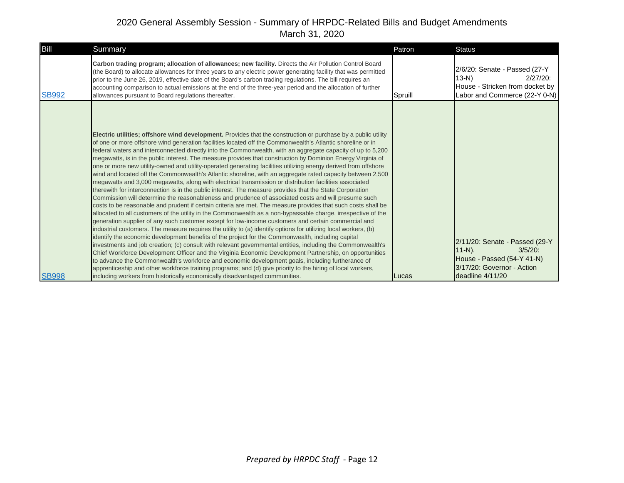| Bill         | Summary                                                                                                                                                                                                                                                                                                                                                                                                                                                                                                                                                                                                                                                                                                                                                                                                                                                                                                                                                                                                                                                                                                                                                                                                                                                                                                                                                                                                                                                                                                                                                                                                                                                                                                                                                                                                                                                                                                                                                                                                                                                                                                               | Patron  | Status                                                                                                                                    |
|--------------|-----------------------------------------------------------------------------------------------------------------------------------------------------------------------------------------------------------------------------------------------------------------------------------------------------------------------------------------------------------------------------------------------------------------------------------------------------------------------------------------------------------------------------------------------------------------------------------------------------------------------------------------------------------------------------------------------------------------------------------------------------------------------------------------------------------------------------------------------------------------------------------------------------------------------------------------------------------------------------------------------------------------------------------------------------------------------------------------------------------------------------------------------------------------------------------------------------------------------------------------------------------------------------------------------------------------------------------------------------------------------------------------------------------------------------------------------------------------------------------------------------------------------------------------------------------------------------------------------------------------------------------------------------------------------------------------------------------------------------------------------------------------------------------------------------------------------------------------------------------------------------------------------------------------------------------------------------------------------------------------------------------------------------------------------------------------------------------------------------------------------|---------|-------------------------------------------------------------------------------------------------------------------------------------------|
| <b>SB992</b> | Carbon trading program; allocation of allowances; new facility. Directs the Air Pollution Control Board<br>(the Board) to allocate allowances for three years to any electric power generating facility that was permitted<br>prior to the June 26, 2019, effective date of the Board's carbon trading regulations. The bill requires an<br>accounting comparison to actual emissions at the end of the three-year period and the allocation of further<br>allowances pursuant to Board regulations thereafter.                                                                                                                                                                                                                                                                                                                                                                                                                                                                                                                                                                                                                                                                                                                                                                                                                                                                                                                                                                                                                                                                                                                                                                                                                                                                                                                                                                                                                                                                                                                                                                                                       | Spruill | 2/6/20: Senate - Passed (27-Y)<br>$13-N$<br>$2/27/20$ :<br>House - Stricken from docket by<br>Labor and Commerce (22-Y 0-N)               |
| <b>SB998</b> | Electric utilities; offshore wind development. Provides that the construction or purchase by a public utility<br>of one or more offshore wind generation facilities located off the Commonwealth's Atlantic shoreline or in<br>federal waters and interconnected directly into the Commonwealth, with an aggregate capacity of up to 5,200<br>megawatts, is in the public interest. The measure provides that construction by Dominion Energy Virginia of<br>one or more new utility-owned and utility-operated generating facilities utilizing energy derived from offshore<br>wind and located off the Commonwealth's Atlantic shoreline, with an aggregate rated capacity between 2,500<br>megawatts and 3,000 megawatts, along with electrical transmission or distribution facilities associated<br>therewith for interconnection is in the public interest. The measure provides that the State Corporation<br>Commission will determine the reasonableness and prudence of associated costs and will presume such<br>costs to be reasonable and prudent if certain criteria are met. The measure provides that such costs shall be<br>allocated to all customers of the utility in the Commonwealth as a non-bypassable charge, irrespective of the<br>generation supplier of any such customer except for low-income customers and certain commercial and<br>industrial customers. The measure requires the utility to (a) identify options for utilizing local workers, (b)<br>identify the economic development benefits of the project for the Commonwealth, including capital<br>investments and job creation; (c) consult with relevant governmental entities, including the Commonwealth's<br>Chief Workforce Development Officer and the Virginia Economic Development Partnership, on opportunities<br>to advance the Commonwealth's workforce and economic development goals, including furtherance of<br>apprenticeship and other workforce training programs; and (d) give priority to the hiring of local workers,<br>including workers from historically economically disadvantaged communities. | Lucas   | 2/11/20: Senate - Passed (29-Y<br>$11-N$ ).<br>$3/5/20$ :<br>House - Passed (54-Y 41-N)<br>3/17/20: Governor - Action<br>deadline 4/11/20 |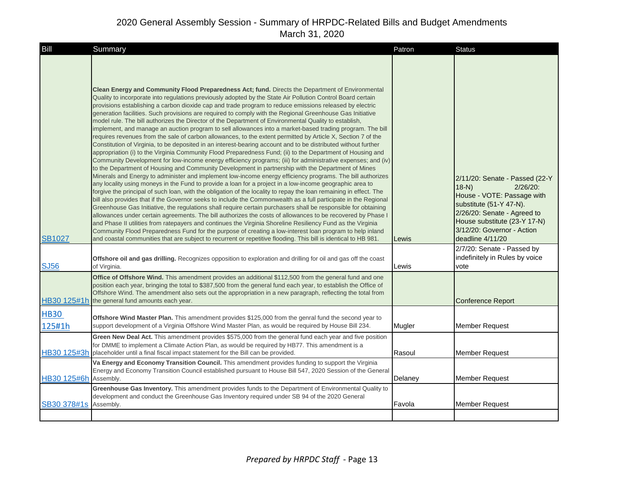| Bill                  | Summary                                                                                                                                                                                                                                                                                                                                                                                                                                                                                                                                                                                                                                                                                                                                                                                                                                                                                                                                                                                                                                                                                                                                                                                                                                                                                                                                                                                                                                                                                                                                                                                                                                                                                                                                                                                                                                                                                                                                                                                                                                                                                                                                                                                                                                                                               | Patron  | <b>Status</b>                                                                                                                                                                                                                     |
|-----------------------|---------------------------------------------------------------------------------------------------------------------------------------------------------------------------------------------------------------------------------------------------------------------------------------------------------------------------------------------------------------------------------------------------------------------------------------------------------------------------------------------------------------------------------------------------------------------------------------------------------------------------------------------------------------------------------------------------------------------------------------------------------------------------------------------------------------------------------------------------------------------------------------------------------------------------------------------------------------------------------------------------------------------------------------------------------------------------------------------------------------------------------------------------------------------------------------------------------------------------------------------------------------------------------------------------------------------------------------------------------------------------------------------------------------------------------------------------------------------------------------------------------------------------------------------------------------------------------------------------------------------------------------------------------------------------------------------------------------------------------------------------------------------------------------------------------------------------------------------------------------------------------------------------------------------------------------------------------------------------------------------------------------------------------------------------------------------------------------------------------------------------------------------------------------------------------------------------------------------------------------------------------------------------------------|---------|-----------------------------------------------------------------------------------------------------------------------------------------------------------------------------------------------------------------------------------|
| <b>SB1027</b>         | Clean Energy and Community Flood Preparedness Act; fund. Directs the Department of Environmental<br>Quality to incorporate into regulations previously adopted by the State Air Pollution Control Board certain<br>provisions establishing a carbon dioxide cap and trade program to reduce emissions released by electric<br>generation facilities. Such provisions are required to comply with the Regional Greenhouse Gas Initiative<br>model rule. The bill authorizes the Director of the Department of Environmental Quality to establish,<br>implement, and manage an auction program to sell allowances into a market-based trading program. The bill<br>requires revenues from the sale of carbon allowances, to the extent permitted by Article X, Section 7 of the<br>Constitution of Virginia, to be deposited in an interest-bearing account and to be distributed without further<br>appropriation (i) to the Virginia Community Flood Preparedness Fund; (ii) to the Department of Housing and<br>Community Development for low-income energy efficiency programs; (iii) for administrative expenses; and (iv)<br>to the Department of Housing and Community Development in partnership with the Department of Mines<br>Minerals and Energy to administer and implement low-income energy efficiency programs. The bill authorizes<br>any locality using moneys in the Fund to provide a loan for a project in a low-income geographic area to<br>forgive the principal of such loan, with the obligation of the locality to repay the loan remaining in effect. The<br>bill also provides that if the Governor seeks to include the Commonwealth as a full participate in the Regional<br>Greenhouse Gas Initiative, the regulations shall require certain purchasers shall be responsible for obtaining<br>allowances under certain agreements. The bill authorizes the costs of allowances to be recovered by Phase I<br>and Phase II utilities from ratepayers and continues the Virginia Shoreline Resiliency Fund as the Virginia<br>Community Flood Preparedness Fund for the purpose of creating a low-interest loan program to help inland<br>and coastal communities that are subject to recurrent or repetitive flooding. This bill is identical to HB 981. | Lewis   | 2/11/20: Senate - Passed (22-Y<br>$18-N$<br>$2/26/20$ :<br>House - VOTE: Passage with<br>substitute (51-Y 47-N).<br>2/26/20: Senate - Agreed to<br>House substitute (23-Y 17-N)<br>3/12/20: Governor - Action<br>deadline 4/11/20 |
| <b>SJ56</b>           | Offshore oil and gas drilling. Recognizes opposition to exploration and drilling for oil and gas off the coast<br>of Virginia.                                                                                                                                                                                                                                                                                                                                                                                                                                                                                                                                                                                                                                                                                                                                                                                                                                                                                                                                                                                                                                                                                                                                                                                                                                                                                                                                                                                                                                                                                                                                                                                                                                                                                                                                                                                                                                                                                                                                                                                                                                                                                                                                                        | Lewis   | 2/7/20: Senate - Passed by<br>indefinitely in Rules by voice<br>vote                                                                                                                                                              |
| HB30 125#1h           | Office of Offshore Wind. This amendment provides an additional \$112,500 from the general fund and one<br>position each year, bringing the total to \$387,500 from the general fund each year, to establish the Office of<br>Offshore Wind. The amendment also sets out the appropriation in a new paragraph, reflecting the total from<br>the general fund amounts each year.                                                                                                                                                                                                                                                                                                                                                                                                                                                                                                                                                                                                                                                                                                                                                                                                                                                                                                                                                                                                                                                                                                                                                                                                                                                                                                                                                                                                                                                                                                                                                                                                                                                                                                                                                                                                                                                                                                        |         | <b>Conference Report</b>                                                                                                                                                                                                          |
| <b>HB30</b><br>125#1h | Offshore Wind Master Plan. This amendment provides \$125,000 from the genral fund the second year to<br>support development of a Virginia Offshore Wind Master Plan, as would be required by House Bill 234.                                                                                                                                                                                                                                                                                                                                                                                                                                                                                                                                                                                                                                                                                                                                                                                                                                                                                                                                                                                                                                                                                                                                                                                                                                                                                                                                                                                                                                                                                                                                                                                                                                                                                                                                                                                                                                                                                                                                                                                                                                                                          | Mugler  | <b>Member Request</b>                                                                                                                                                                                                             |
| HB30 125#3h           | Green New Deal Act. This amendment provides \$575,000 from the general fund each year and five position<br>for DMME to implement a Climate Action Plan, as would be required by HB77. This amendment is a<br>placeholder until a final fiscal impact statement for the Bill can be provided.                                                                                                                                                                                                                                                                                                                                                                                                                                                                                                                                                                                                                                                                                                                                                                                                                                                                                                                                                                                                                                                                                                                                                                                                                                                                                                                                                                                                                                                                                                                                                                                                                                                                                                                                                                                                                                                                                                                                                                                          | Rasoul  | <b>Member Request</b>                                                                                                                                                                                                             |
| HB30 125#6h           | Va Energy and Economy Transition Council. This amendment provides funding to support the Virginia<br>Energy and Economy Transition Council established pursuant to House Bill 547, 2020 Session of the General<br>Assembly.                                                                                                                                                                                                                                                                                                                                                                                                                                                                                                                                                                                                                                                                                                                                                                                                                                                                                                                                                                                                                                                                                                                                                                                                                                                                                                                                                                                                                                                                                                                                                                                                                                                                                                                                                                                                                                                                                                                                                                                                                                                           | Delaney | <b>Member Request</b>                                                                                                                                                                                                             |
| SB30 378#1s           | Greenhouse Gas Inventory. This amendment provides funds to the Department of Environmental Quality to<br>development and conduct the Greenhouse Gas Inventory required under SB 94 of the 2020 General<br>Assembly.                                                                                                                                                                                                                                                                                                                                                                                                                                                                                                                                                                                                                                                                                                                                                                                                                                                                                                                                                                                                                                                                                                                                                                                                                                                                                                                                                                                                                                                                                                                                                                                                                                                                                                                                                                                                                                                                                                                                                                                                                                                                   | Favola  | <b>Member Request</b>                                                                                                                                                                                                             |
|                       |                                                                                                                                                                                                                                                                                                                                                                                                                                                                                                                                                                                                                                                                                                                                                                                                                                                                                                                                                                                                                                                                                                                                                                                                                                                                                                                                                                                                                                                                                                                                                                                                                                                                                                                                                                                                                                                                                                                                                                                                                                                                                                                                                                                                                                                                                       |         |                                                                                                                                                                                                                                   |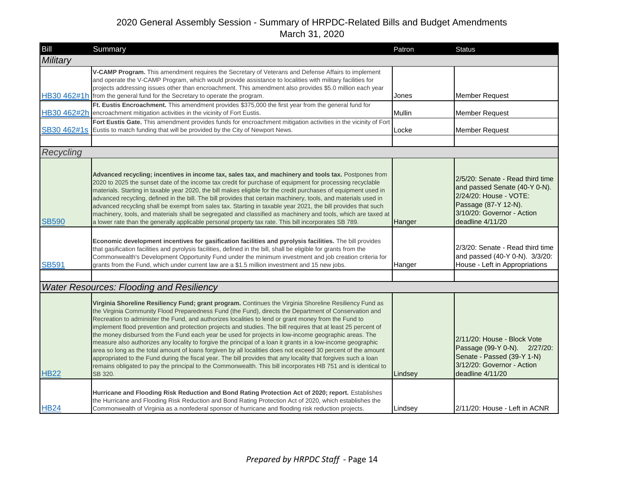| Bill         | Summary                                                                                                                                                                                                                                                                                                                                                                                                                                                                                                                                                                                                                                                                                                                                                                                                                                                                                                                                                                                                                         | Patron  | <b>Status</b>                                                                                                                                                         |
|--------------|---------------------------------------------------------------------------------------------------------------------------------------------------------------------------------------------------------------------------------------------------------------------------------------------------------------------------------------------------------------------------------------------------------------------------------------------------------------------------------------------------------------------------------------------------------------------------------------------------------------------------------------------------------------------------------------------------------------------------------------------------------------------------------------------------------------------------------------------------------------------------------------------------------------------------------------------------------------------------------------------------------------------------------|---------|-----------------------------------------------------------------------------------------------------------------------------------------------------------------------|
| Military     |                                                                                                                                                                                                                                                                                                                                                                                                                                                                                                                                                                                                                                                                                                                                                                                                                                                                                                                                                                                                                                 |         |                                                                                                                                                                       |
|              | V-CAMP Program. This amendment requires the Secretary of Veterans and Defense Affairs to implement<br>and operate the V-CAMP Program, which would provide assistance to localities with military facilities for<br>projects addressing issues other than encroachment. This amendment also provides \$5.0 million each year<br>HB30 462#1h from the general fund for the Secretary to operate the program.                                                                                                                                                                                                                                                                                                                                                                                                                                                                                                                                                                                                                      | Jones   | <b>Member Request</b>                                                                                                                                                 |
|              | Ft. Eustis Encroachment. This amendment provides \$375,000 the first year from the general fund for<br>HB30 462#2h encroachment mitigation activities in the vicinity of Fort Eustis.                                                                                                                                                                                                                                                                                                                                                                                                                                                                                                                                                                                                                                                                                                                                                                                                                                           | Mullin  | <b>Member Request</b>                                                                                                                                                 |
|              | Fort Eustis Gate. This amendment provides funds for encroachment mitigation activities in the vicinity of Fort<br>SB30 462#1s Eustis to match funding that will be provided by the City of Newport News.                                                                                                                                                                                                                                                                                                                                                                                                                                                                                                                                                                                                                                                                                                                                                                                                                        | Locke   | <b>Member Request</b>                                                                                                                                                 |
|              |                                                                                                                                                                                                                                                                                                                                                                                                                                                                                                                                                                                                                                                                                                                                                                                                                                                                                                                                                                                                                                 |         |                                                                                                                                                                       |
| Recycling    |                                                                                                                                                                                                                                                                                                                                                                                                                                                                                                                                                                                                                                                                                                                                                                                                                                                                                                                                                                                                                                 |         |                                                                                                                                                                       |
| <b>SB590</b> | Advanced recycling; incentives in income tax, sales tax, and machinery and tools tax. Postpones from<br>2020 to 2025 the sunset date of the income tax credit for purchase of equipment for processing recyclable<br>materials. Starting in taxable year 2020, the bill makes eligible for the credit purchases of equipment used in<br>advanced recycling, defined in the bill. The bill provides that certain machinery, tools, and materials used in<br>advanced recycling shall be exempt from sales tax. Starting in taxable year 2021, the bill provides that such<br>machinery, tools, and materials shall be segregated and classified as machinery and tools, which are taxed at<br>a lower rate than the generally applicable personal property tax rate. This bill incorporates SB 789.                                                                                                                                                                                                                              | Hanger  | 2/5/20: Senate - Read third time<br>and passed Senate (40-Y 0-N).<br>2/24/20: House - VOTE:<br>Passage (87-Y 12-N).<br>3/10/20: Governor - Action<br>deadline 4/11/20 |
| <b>SB591</b> | Economic development incentives for gasification facilities and pyrolysis facilities. The bill provides<br>that gasification facilities and pyrolysis facilities, defined in the bill, shall be eligible for grants from the<br>Commonwealth's Development Opportunity Fund under the minimum investment and job creation criteria for<br>grants from the Fund, which under current law are a \$1.5 million investment and 15 new jobs.                                                                                                                                                                                                                                                                                                                                                                                                                                                                                                                                                                                         | Hanger  | 2/3/20: Senate - Read third time<br>and passed (40-Y 0-N). 3/3/20:<br>House - Left in Appropriations                                                                  |
|              |                                                                                                                                                                                                                                                                                                                                                                                                                                                                                                                                                                                                                                                                                                                                                                                                                                                                                                                                                                                                                                 |         |                                                                                                                                                                       |
|              | <b>Water Resources: Flooding and Resiliency</b>                                                                                                                                                                                                                                                                                                                                                                                                                                                                                                                                                                                                                                                                                                                                                                                                                                                                                                                                                                                 |         |                                                                                                                                                                       |
| <b>HB22</b>  | Virginia Shoreline Resiliency Fund; grant program. Continues the Virginia Shoreline Resiliency Fund as<br>the Virginia Community Flood Preparedness Fund (the Fund), directs the Department of Conservation and<br>Recreation to administer the Fund, and authorizes localities to lend or grant money from the Fund to<br>implement flood prevention and protection projects and studies. The bill requires that at least 25 percent of<br>the money disbursed from the Fund each year be used for projects in low-income geographic areas. The<br>measure also authorizes any locality to forgive the principal of a loan it grants in a low-income geographic<br>area so long as the total amount of loans forgiven by all localities does not exceed 30 percent of the amount<br>appropriated to the Fund during the fiscal year. The bill provides that any locality that forgives such a loan<br>remains obligated to pay the principal to the Commonwealth. This bill incorporates HB 751 and is identical to<br>SB 320. | Lindsey | 2/11/20: House - Block Vote<br>Passage (99-Y 0-N). 2/27/20:<br>Senate - Passed (39-Y 1-N)<br>3/12/20: Governor - Action<br>deadline 4/11/20                           |
| <b>HB24</b>  | Hurricane and Flooding Risk Reduction and Bond Rating Protection Act of 2020; report. Establishes<br>the Hurricane and Flooding Risk Reduction and Bond Rating Protection Act of 2020, which establishes the<br>Commonwealth of Virginia as a nonfederal sponsor of hurricane and flooding risk reduction projects.                                                                                                                                                                                                                                                                                                                                                                                                                                                                                                                                                                                                                                                                                                             | Lindsey | 2/11/20: House - Left in ACNR                                                                                                                                         |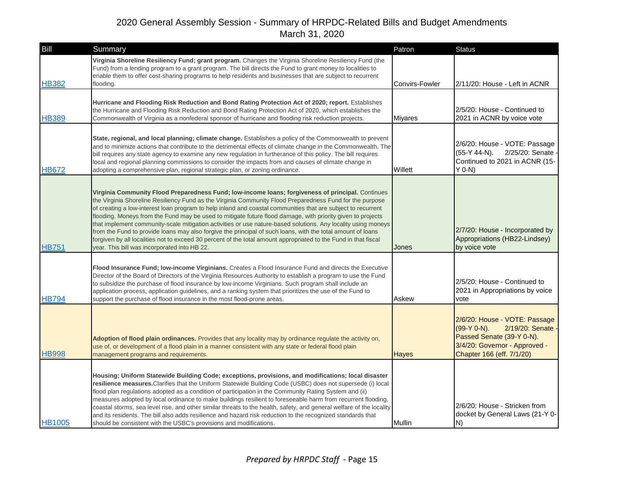| Bill          | Summary                                                                                                                                                                                                                                                                                                                                                                                                                                                                                                                                                                                                                                                                                                                                                                                                                                         | Patron         | <b>Status</b>                                                                                                                                                   |
|---------------|-------------------------------------------------------------------------------------------------------------------------------------------------------------------------------------------------------------------------------------------------------------------------------------------------------------------------------------------------------------------------------------------------------------------------------------------------------------------------------------------------------------------------------------------------------------------------------------------------------------------------------------------------------------------------------------------------------------------------------------------------------------------------------------------------------------------------------------------------|----------------|-----------------------------------------------------------------------------------------------------------------------------------------------------------------|
| <b>HB382</b>  | Virginia Shoreline Resiliency Fund; grant program. Changes the Virginia Shoreline Resiliency Fund (the<br>Fund) from a lending program to a grant program. The bill directs the Fund to grant money to localities to<br>enable them to offer cost-sharing programs to help residents and businesses that are subject to recurrent<br>flooding.                                                                                                                                                                                                                                                                                                                                                                                                                                                                                                  | Convirs-Fowler | 2/11/20: House - Left in ACNR                                                                                                                                   |
| <b>HB389</b>  | Hurricane and Flooding Risk Reduction and Bond Rating Protection Act of 2020; report. Establishes<br>the Hurricane and Flooding Risk Reduction and Bond Rating Protection Act of 2020, which establishes the<br>Commonwealth of Virginia as a nonfederal sponsor of hurricane and flooding risk reduction projects.                                                                                                                                                                                                                                                                                                                                                                                                                                                                                                                             | <b>Miyares</b> | 2/5/20: House - Continued to<br>2021 in ACNR by voice vote                                                                                                      |
| <b>HB672</b>  | State, regional, and local planning; climate change. Establishes a policy of the Commonwealth to prevent<br>and to minimize actions that contribute to the detrimental effects of climate change in the Commonwealth. The<br>bill requires any state agency to examine any new regulation in furtherance of this policy. The bill requires<br>local and regional planning commissions to consider the impacts from and causes of climate change in<br>adopting a comprehensive plan, regional strategic plan, or zoning ordinance.                                                                                                                                                                                                                                                                                                              | Willett        | 2/6/20: House - VOTE: Passage<br>$(55-Y 44-N)$ .<br>2/25/20: Senate<br>Continued to 2021 in ACNR (15-<br>$Y$ 0-N)                                               |
| <b>HB751</b>  | Virginia Community Flood Preparedness Fund; low-income loans; forgiveness of principal. Continues<br>the Virginia Shoreline Resiliency Fund as the Virginia Community Flood Preparedness Fund for the purpose<br>of creating a low-interest loan program to help inland and coastal communities that are subject to recurrent<br>flooding. Moneys from the Fund may be used to mitigate future flood damage, with priority given to projects<br>that implement community-scale mitigation activities or use nature-based solutions. Any locality using moneys<br>from the Fund to provide loans may also forgive the principal of such loans, with the total amount of loans<br>forgiven by all localities not to exceed 30 percent of the total amount appropriated to the Fund in that fiscal<br>year. This bill was incorporated into HB 22. | Jones          | 2/7/20: House - Incorporated by<br>Appropriations (HB22-Lindsey)<br>by voice vote                                                                               |
| <b>HB794</b>  | Flood Insurance Fund; low-income Virginians. Creates a Flood Insurance Fund and directs the Executive<br>Director of the Board of Directors of the Virginia Resources Authority to establish a program to use the Fund<br>to subsidize the purchase of flood insurance by low-income Virginians. Such program shall include an<br>application process, application guidelines, and a ranking system that prioritizes the use of the Fund to<br>support the purchase of flood insurance in the most flood-prone areas.                                                                                                                                                                                                                                                                                                                           | Askew          | 2/5/20: House - Continued to<br>2021 in Appropriations by voice<br>vote                                                                                         |
| <b>HB998</b>  | Adoption of flood plain ordinances. Provides that any locality may by ordinance regulate the activity on,<br>use of, or development of a flood plain in a manner consistent with any state or federal flood plain<br>management programs and requirements.                                                                                                                                                                                                                                                                                                                                                                                                                                                                                                                                                                                      | <b>Hayes</b>   | 2/6/20: House - VOTE: Passage<br>$(99-Y 0-N)$ .<br>2/19/20: Senate -<br>Passed Senate (39-Y 0-N).<br>3/4/20: Governor - Approved -<br>Chapter 166 (eff. 7/1/20) |
| <b>HB1005</b> | Housing; Uniform Statewide Building Code; exceptions, provisions, and modifications; local disaster<br>resilience measures. Clarifies that the Uniform Statewide Building Code (USBC) does not supersede (i) local<br>flood plan regulations adopted as a condition of participation in the Community Rating System and (ii)<br>measures adopted by local ordinance to make buildings resilient to foreseeable harm from recurrent flooding,<br>coastal storms, sea level rise, and other similar threats to the health, safety, and general welfare of the locality<br>and its residents. The bill also adds resilience and hazard risk reduction to the recognized standards that<br>should be consistent with the USBC's provisions and modifications.                                                                                       | Mullin         | 2/6/20: House - Stricken from<br>docket by General Laws (21-Y 0-<br>IN)                                                                                         |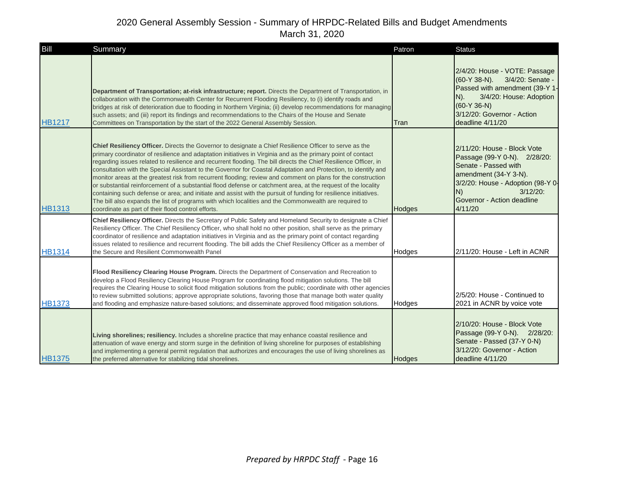| Bill          | Summary                                                                                                                                                                                                                                                                                                                                                                                                                                                                                                                                                                                                                                                                                                                                                                                                                                                                                                                                                                          | Patron        | <b>Status</b>                                                                                                                                                                                                   |
|---------------|----------------------------------------------------------------------------------------------------------------------------------------------------------------------------------------------------------------------------------------------------------------------------------------------------------------------------------------------------------------------------------------------------------------------------------------------------------------------------------------------------------------------------------------------------------------------------------------------------------------------------------------------------------------------------------------------------------------------------------------------------------------------------------------------------------------------------------------------------------------------------------------------------------------------------------------------------------------------------------|---------------|-----------------------------------------------------------------------------------------------------------------------------------------------------------------------------------------------------------------|
| <b>HB1217</b> | Department of Transportation; at-risk infrastructure; report. Directs the Department of Transportation, in<br>collaboration with the Commonwealth Center for Recurrent Flooding Resiliency, to (i) identify roads and<br>bridges at risk of deterioration due to flooding in Northern Virginia; (ii) develop recommendations for managing<br>such assets; and (iii) report its findings and recommendations to the Chairs of the House and Senate<br>Committees on Transportation by the start of the 2022 General Assembly Session.                                                                                                                                                                                                                                                                                                                                                                                                                                             | Tran          | 2/4/20: House - VOTE: Passage<br>(60-Y 38-N). 3/4/20: Senate -<br>Passed with amendment (39-Y 1-<br>3/4/20: House: Adoption<br>$N$ ).<br>$(60-Y 36-N)$<br>3/12/20: Governor - Action<br>deadline 4/11/20        |
| <b>HB1313</b> | Chief Resiliency Officer. Directs the Governor to designate a Chief Resilience Officer to serve as the<br>primary coordinator of resilience and adaptation initiatives in Virginia and as the primary point of contact<br>regarding issues related to resilience and recurrent flooding. The bill directs the Chief Resilience Officer, in<br>consultation with the Special Assistant to the Governor for Coastal Adaptation and Protection, to identify and<br>monitor areas at the greatest risk from recurrent flooding; review and comment on plans for the construction<br>or substantial reinforcement of a substantial flood defense or catchment area, at the request of the locality<br>containing such defense or area; and initiate and assist with the pursuit of funding for resilience initiatives.<br>The bill also expands the list of programs with which localities and the Commonwealth are required to<br>coordinate as part of their flood control efforts. | Hodges        | 2/11/20: House - Block Vote<br>Passage (99-Y 0-N). 2/28/20:<br>Senate - Passed with<br>amendment (34-Y 3-N).<br>3/2/20: House - Adoption (98-Y 0-<br>N)<br>$3/12/20$ :<br>Governor - Action deadline<br>4/11/20 |
| <b>HB1314</b> | Chief Resiliency Officer. Directs the Secretary of Public Safety and Homeland Security to designate a Chief<br>Resiliency Officer. The Chief Resiliency Officer, who shall hold no other position, shall serve as the primary<br>coordinator of resilience and adaptation initiatives in Virginia and as the primary point of contact regarding<br>issues related to resilience and recurrent flooding. The bill adds the Chief Resiliency Officer as a member of<br>the Secure and Resilient Commonwealth Panel                                                                                                                                                                                                                                                                                                                                                                                                                                                                 | Hodges        | 2/11/20: House - Left in ACNR                                                                                                                                                                                   |
| <b>HB1373</b> | Flood Resiliency Clearing House Program. Directs the Department of Conservation and Recreation to<br>develop a Flood Resiliency Clearing House Program for coordinating flood mitigation solutions. The bill<br>requires the Clearing House to solicit flood mitigation solutions from the public; coordinate with other agencies<br>to review submitted solutions; approve appropriate solutions, favoring those that manage both water quality<br>and flooding and emphasize nature-based solutions; and disseminate approved flood mitigation solutions.                                                                                                                                                                                                                                                                                                                                                                                                                      | Hodges        | 2/5/20: House - Continued to<br>2021 in ACNR by voice vote                                                                                                                                                      |
| <b>HB1375</b> | Living shorelines; resiliency. Includes a shoreline practice that may enhance coastal resilience and<br>attenuation of wave energy and storm surge in the definition of living shoreline for purposes of establishing<br>and implementing a general permit regulation that authorizes and encourages the use of living shorelines as<br>the preferred alternative for stabilizing tidal shorelines.                                                                                                                                                                                                                                                                                                                                                                                                                                                                                                                                                                              | <b>Hodges</b> | 2/10/20: House - Block Vote<br>Passage (99-Y 0-N). 2/28/20:<br>Senate - Passed (37-Y 0-N)<br>3/12/20: Governor - Action<br>deadline 4/11/20                                                                     |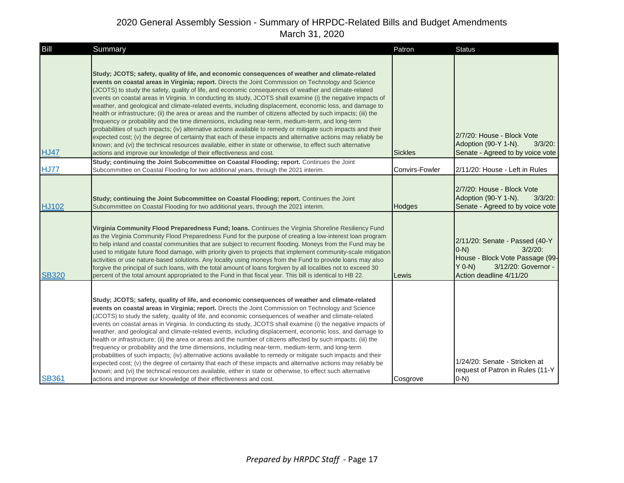| Bill         | <b>Summary</b>                                                                                                                                                                                                                                                                                                                                                                                                                                                                                                                                                                                                                                                                                                                                                                                                                                                                                                                                                                                                                                                                                                                                                                                | Patron                | <b>Status</b>                                                                                                                                            |
|--------------|-----------------------------------------------------------------------------------------------------------------------------------------------------------------------------------------------------------------------------------------------------------------------------------------------------------------------------------------------------------------------------------------------------------------------------------------------------------------------------------------------------------------------------------------------------------------------------------------------------------------------------------------------------------------------------------------------------------------------------------------------------------------------------------------------------------------------------------------------------------------------------------------------------------------------------------------------------------------------------------------------------------------------------------------------------------------------------------------------------------------------------------------------------------------------------------------------|-----------------------|----------------------------------------------------------------------------------------------------------------------------------------------------------|
| <b>HJ47</b>  | Study; JCOTS; safety, quality of life, and economic consequences of weather and climate-related<br>events on coastal areas in Virginia; report. Directs the Joint Commission on Technology and Science<br>(JCOTS) to study the safety, quality of life, and economic consequences of weather and climate-related<br>events on coastal areas in Virginia. In conducting its study, JCOTS shall examine (i) the negative impacts of<br>weather, and geological and climate-related events, including displacement, economic loss, and damage to<br>health or infrastructure; (ii) the area or areas and the number of citizens affected by such impacts; (iii) the<br>frequency or probability and the time dimensions, including near-term, medium-term, and long-term<br>probabilities of such impacts; (iv) alternative actions available to remedy or mitigate such impacts and their<br>expected cost; (v) the degree of certainty that each of these impacts and alternative actions may reliably be<br>known; and (vi) the technical resources available, either in state or otherwise, to effect such alternative<br>actions and improve our knowledge of their effectiveness and cost. | <b>Sickles</b>        | 2/7/20: House - Block Vote<br>Adoption (90-Y 1-N).<br>$3/3/20$ :<br>Senate - Agreed to by voice vote                                                     |
| <b>HJ77</b>  | Study; continuing the Joint Subcommittee on Coastal Flooding; report. Continues the Joint<br>Subcommittee on Coastal Flooding for two additional years, through the 2021 interim.                                                                                                                                                                                                                                                                                                                                                                                                                                                                                                                                                                                                                                                                                                                                                                                                                                                                                                                                                                                                             | <b>Convirs-Fowler</b> | 2/11/20: House - Left in Rules                                                                                                                           |
| <b>HJ102</b> | Study; continuing the Joint Subcommittee on Coastal Flooding; report. Continues the Joint<br>Subcommittee on Coastal Flooding for two additional years, through the 2021 interim.                                                                                                                                                                                                                                                                                                                                                                                                                                                                                                                                                                                                                                                                                                                                                                                                                                                                                                                                                                                                             | Hodges                | 2/7/20: House - Block Vote<br>Adoption (90-Y 1-N).<br>$3/3/20$ :<br>Senate - Agreed to by voice vote                                                     |
| <b>SB320</b> | Virginia Community Flood Preparedness Fund; Ioans. Continues the Virginia Shoreline Resiliency Fund<br>as the Virginia Community Flood Preparedness Fund for the purpose of creating a low-interest loan program<br>to help inland and coastal communities that are subject to recurrent flooding. Moneys from the Fund may be<br>used to mitigate future flood damage, with priority given to projects that implement community-scale mitigation<br>activities or use nature-based solutions. Any locality using moneys from the Fund to provide loans may also<br>forgive the principal of such loans, with the total amount of loans forgiven by all localities not to exceed 30<br>percent of the total amount appropriated to the Fund in that fiscal year. This bill is identical to HB 22.                                                                                                                                                                                                                                                                                                                                                                                             | Lewis                 | 2/11/20: Senate - Passed (40-Y<br>$(0-N)$<br>$3/2/20$ :<br>House - Block Vote Passage (99-<br>$Y$ 0-N)<br>3/12/20: Governor -<br>Action deadline 4/11/20 |
| <b>SB361</b> | Study; JCOTS; safety, quality of life, and economic consequences of weather and climate-related<br>events on coastal areas in Virginia; report. Directs the Joint Commission on Technology and Science<br>(JCOTS) to study the safety, quality of life, and economic consequences of weather and climate-related<br>events on coastal areas in Virginia. In conducting its study, JCOTS shall examine (i) the negative impacts of<br>weather, and geological and climate-related events, including displacement, economic loss, and damage to<br>health or infrastructure; (ii) the area or areas and the number of citizens affected by such impacts; (iii) the<br>frequency or probability and the time dimensions, including near-term, medium-term, and long-term<br>probabilities of such impacts; (iv) alternative actions available to remedy or mitigate such impacts and their<br>expected cost; (v) the degree of certainty that each of these impacts and alternative actions may reliably be<br>known; and (vi) the technical resources available, either in state or otherwise, to effect such alternative<br>actions and improve our knowledge of their effectiveness and cost. | Cosgrove              | 1/24/20: Senate - Stricken at<br>request of Patron in Rules (11-Y)<br>$O-N$                                                                              |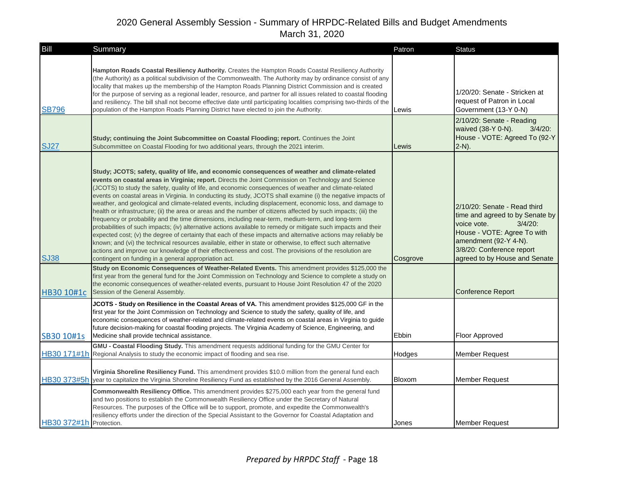| Bill                    | Summary                                                                                                                                                                                                                                                                                                                                                                                                                                                                                                                                                                                                                                                                                                                                                                                                                                                                                                                                                                                                                                                                                                                                                                                                                                                                                     | Patron   | <b>Status</b>                                                                                                                                                                                                      |
|-------------------------|---------------------------------------------------------------------------------------------------------------------------------------------------------------------------------------------------------------------------------------------------------------------------------------------------------------------------------------------------------------------------------------------------------------------------------------------------------------------------------------------------------------------------------------------------------------------------------------------------------------------------------------------------------------------------------------------------------------------------------------------------------------------------------------------------------------------------------------------------------------------------------------------------------------------------------------------------------------------------------------------------------------------------------------------------------------------------------------------------------------------------------------------------------------------------------------------------------------------------------------------------------------------------------------------|----------|--------------------------------------------------------------------------------------------------------------------------------------------------------------------------------------------------------------------|
| <b>SB796</b>            | Hampton Roads Coastal Resiliency Authority. Creates the Hampton Roads Coastal Resiliency Authority<br>(the Authority) as a political subdivision of the Commonwealth. The Authority may by ordinance consist of any<br>locality that makes up the membership of the Hampton Roads Planning District Commission and is created<br>for the purpose of serving as a regional leader, resource, and partner for all issues related to coastal flooding<br>and resiliency. The bill shall not become effective date until participating localities comprising two-thirds of the<br>population of the Hampton Roads Planning District have elected to join the Authority.                                                                                                                                                                                                                                                                                                                                                                                                                                                                                                                                                                                                                         | Lewis    | 1/20/20: Senate - Stricken at<br>request of Patron in Local<br>Government (13-Y 0-N)<br>$2/10/20$ : Senate - Reading<br>waived (38-Y 0-N).<br>$3/4/20$ :<br>House - VOTE: Agreed To (92-Y                          |
| <b>SJ27</b>             | Study; continuing the Joint Subcommittee on Coastal Flooding; report. Continues the Joint<br>Subcommittee on Coastal Flooding for two additional years, through the 2021 interim.                                                                                                                                                                                                                                                                                                                                                                                                                                                                                                                                                                                                                                                                                                                                                                                                                                                                                                                                                                                                                                                                                                           | Lewis    | $2-N$ ).                                                                                                                                                                                                           |
| <b>SJ38</b>             | Study; JCOTS; safety, quality of life, and economic consequences of weather and climate-related<br>events on coastal areas in Virginia; report. Directs the Joint Commission on Technology and Science<br>(JCOTS) to study the safety, quality of life, and economic consequences of weather and climate-related<br>events on coastal areas in Virginia. In conducting its study, JCOTS shall examine (i) the negative impacts of<br>weather, and geological and climate-related events, including displacement, economic loss, and damage to<br>health or infrastructure; (ii) the area or areas and the number of citizens affected by such impacts; (iii) the<br>frequency or probability and the time dimensions, including near-term, medium-term, and long-term<br>probabilities of such impacts; (iv) alternative actions available to remedy or mitigate such impacts and their<br>expected cost; (v) the degree of certainty that each of these impacts and alternative actions may reliably be<br>known; and (vi) the technical resources available, either in state or otherwise, to effect such alternative<br>actions and improve our knowledge of their effectiveness and cost. The provisions of the resolution are<br>contingent on funding in a general appropriation act. | Cosgrove | 2/10/20: Senate - Read third<br>time and agreed to by Senate by<br>voice vote.<br>$3/4/20$ :<br>House - VOTE: Agree To with<br>amendment (92-Y 4-N).<br>3/8/20: Conference report<br>agreed to by House and Senate |
| HB30 10#1c              | Study on Economic Consequences of Weather-Related Events. This amendment provides \$125,000 the<br>first year from the general fund for the Joint Commission on Technology and Science to complete a study on<br>the economic consequences of weather-related events, pursuant to House Joint Resolution 47 of the 2020<br>Session of the General Assembly.                                                                                                                                                                                                                                                                                                                                                                                                                                                                                                                                                                                                                                                                                                                                                                                                                                                                                                                                 |          | <b>Conference Report</b>                                                                                                                                                                                           |
| SB30 10#1s              | JCOTS - Study on Resilience in the Coastal Areas of VA. This amendment provides \$125,000 GF in the<br>first year for the Joint Commission on Technology and Science to study the safety, quality of life, and<br>economic consequences of weather-related and climate-related events on coastal areas in Virginia to guide<br>future decision-making for coastal flooding projects. The Virginia Academy of Science, Engineering, and<br>Medicine shall provide technical assistance.                                                                                                                                                                                                                                                                                                                                                                                                                                                                                                                                                                                                                                                                                                                                                                                                      | Ebbin    | Floor Approved                                                                                                                                                                                                     |
|                         | GMU - Coastal Flooding Study. This amendment requests additional funding for the GMU Center for<br>HB30 171#1h Regional Analysis to study the economic impact of flooding and sea rise.                                                                                                                                                                                                                                                                                                                                                                                                                                                                                                                                                                                                                                                                                                                                                                                                                                                                                                                                                                                                                                                                                                     | Hodges   | <b>Member Request</b>                                                                                                                                                                                              |
|                         | Virginia Shoreline Resiliency Fund. This amendment provides \$10.0 million from the general fund each<br>HB30 373#5h year to capitalize the Virginia Shoreline Resiliency Fund as established by the 2016 General Assembly.                                                                                                                                                                                                                                                                                                                                                                                                                                                                                                                                                                                                                                                                                                                                                                                                                                                                                                                                                                                                                                                                 | Bloxom   | <b>Member Request</b>                                                                                                                                                                                              |
| HB30 372#1h Protection. | <b>Commonwealth Resiliency Office.</b> This amendment provides \$275,000 each year from the general fund<br>and two positions to establish the Commonwealth Resiliency Office under the Secretary of Natural<br>Resources. The purposes of the Office will be to support, promote, and expedite the Commonwealth's<br>resiliency efforts under the direction of the Special Assistant to the Governor for Coastal Adaptation and                                                                                                                                                                                                                                                                                                                                                                                                                                                                                                                                                                                                                                                                                                                                                                                                                                                            | Jones    | <b>Member Request</b>                                                                                                                                                                                              |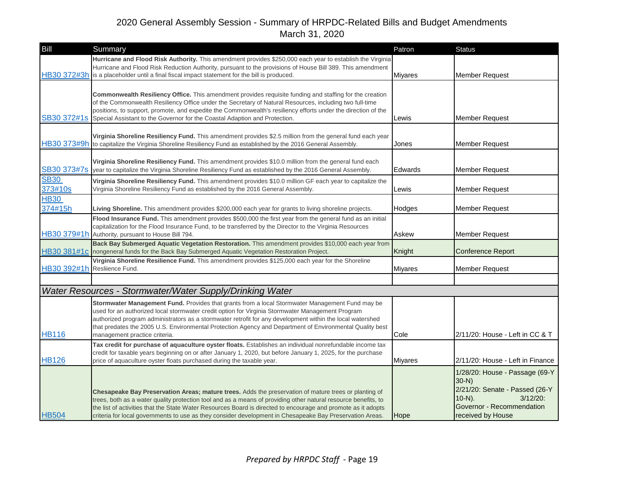| Bill                   | Summary                                                                                                                                                                                                                                                                                                                                                                                                                                                       | Patron         | <b>Status</b>                                                                                                                                              |
|------------------------|---------------------------------------------------------------------------------------------------------------------------------------------------------------------------------------------------------------------------------------------------------------------------------------------------------------------------------------------------------------------------------------------------------------------------------------------------------------|----------------|------------------------------------------------------------------------------------------------------------------------------------------------------------|
|                        | Hurricane and Flood Risk Authority. This amendment provides \$250,000 each year to establish the Virginia<br>Hurricane and Flood Risk Reduction Authority, pursuant to the provisions of House Bill 389. This amendment<br>HB30 372#3h is a placeholder until a final fiscal impact statement for the bill is produced.                                                                                                                                       | <b>Miyares</b> | <b>Member Request</b>                                                                                                                                      |
| SB30 372#1s            | Commonwealth Resiliency Office. This amendment provides requisite funding and staffing for the creation<br>of the Commonwealth Resiliency Office under the Secretary of Natural Resources, including two full-time<br>positions, to support, promote, and expedite the Commonwealth's resiliency efforts under the direction of the<br>Special Assistant to the Governor for the Coastal Adaption and Protection.                                             | Lewis          | <b>Member Request</b>                                                                                                                                      |
|                        | Virginia Shoreline Resiliency Fund. This amendment provides \$2.5 million from the general fund each year<br>HB30 373#9h to capitalize the Virginia Shoreline Resiliency Fund as established by the 2016 General Assembly.                                                                                                                                                                                                                                    | Jones          | <b>Member Request</b>                                                                                                                                      |
| SB30 373#7s            | Virginia Shoreline Resiliency Fund. This amendment provides \$10.0 million from the general fund each<br>year to capitalize the Virginia Shoreline Resiliency Fund as established by the 2016 General Assembly.                                                                                                                                                                                                                                               | Edwards        | <b>Member Request</b>                                                                                                                                      |
| <b>SB30</b><br>373#10s | Virginia Shoreline Resiliency Fund. This amendment provides \$10.0 million GF each year to capitalize the<br>Virginia Shoreline Resiliency Fund as established by the 2016 General Assembly.                                                                                                                                                                                                                                                                  | Lewis          | <b>Member Request</b>                                                                                                                                      |
| <b>HB30</b><br>374#15h | Living Shoreline. This amendment provides \$200,000 each year for grants to living shoreline projects.                                                                                                                                                                                                                                                                                                                                                        | Hodges         | <b>Member Request</b>                                                                                                                                      |
|                        | Flood Insurance Fund. This amendment provides \$500,000 the first year from the general fund as an initial<br>capitalization for the Flood Insurance Fund, to be transferred by the Director to the Virginia Resources<br>HB30 379#1h Authority, pursuant to House Bill 794.                                                                                                                                                                                  | Askew          | <b>Member Request</b>                                                                                                                                      |
|                        | Back Bay Submerged Aquatic Vegetation Restoration. This amendment provides \$10,000 each year from<br>HB30 381#1c nongeneral funds for the Back Bay Submerged Aquatic Vegetation Restoration Project.                                                                                                                                                                                                                                                         | Knight         | <b>Conference Report</b>                                                                                                                                   |
|                        | Virginia Shoreline Resilience Fund. This amendment provides \$125,000 each year for the Shoreline<br>HB30 392#1h Resliience Fund.                                                                                                                                                                                                                                                                                                                             | <b>Mivares</b> | <b>Member Request</b>                                                                                                                                      |
|                        |                                                                                                                                                                                                                                                                                                                                                                                                                                                               |                |                                                                                                                                                            |
|                        | Water Resources - Stormwater/Water Supply/Drinking Water                                                                                                                                                                                                                                                                                                                                                                                                      |                |                                                                                                                                                            |
| <b>HB116</b>           | Stormwater Management Fund. Provides that grants from a local Stormwater Management Fund may be<br>used for an authorized local stormwater credit option for Virginia Stormwater Management Program<br>authorized program administrators as a stormwater retrofit for any development within the local watershed<br>that predates the 2005 U.S. Environmental Protection Agency and Department of Environmental Quality best<br>management practice criteria. | Cole           | 2/11/20: House - Left in CC & T                                                                                                                            |
| <b>HB126</b>           | Tax credit for purchase of aquaculture oyster floats. Establishes an individual nonrefundable income tax<br>credit for taxable years beginning on or after January 1, 2020, but before January 1, 2025, for the purchase<br>price of aquaculture oyster floats purchased during the taxable year.                                                                                                                                                             | <b>Miyares</b> | 2/11/20: House - Left in Finance                                                                                                                           |
| <b>HB504</b>           | Chesapeake Bay Preservation Areas; mature trees. Adds the preservation of mature trees or planting of<br>trees, both as a water quality protection tool and as a means of providing other natural resource benefits, to<br>the list of activities that the State Water Resources Board is directed to encourage and promote as it adopts<br>criteria for local governments to use as they consider development in Chesapeake Bay Preservation Areas.          | Hope           | 1/28/20: House - Passage (69-Y<br>$30-N$ )<br>2/21/20: Senate - Passed (26-Y<br>$3/12/20$ :<br>$10-N$ ).<br>Governor - Recommendation<br>received by House |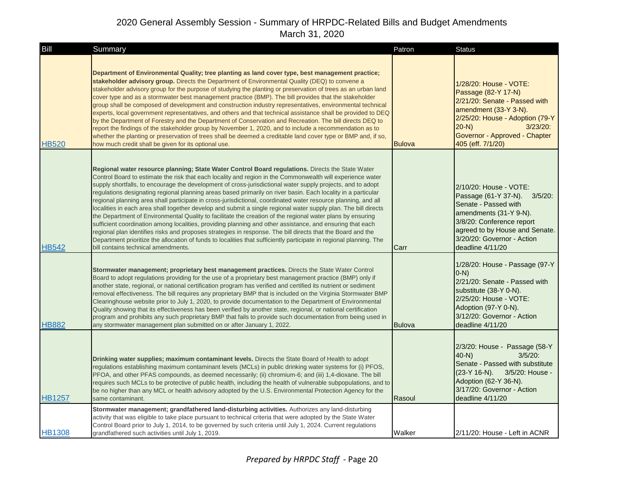| Bill          | Summary                                                                                                                                                                                                                                                                                                                                                                                                                                                                                                                                                                                                                                                                                                                                                                                                                                                                                                                                                                                                                                                                                                                                                                                     | Patron        | <b>Status</b>                                                                                                                                                                                                               |
|---------------|---------------------------------------------------------------------------------------------------------------------------------------------------------------------------------------------------------------------------------------------------------------------------------------------------------------------------------------------------------------------------------------------------------------------------------------------------------------------------------------------------------------------------------------------------------------------------------------------------------------------------------------------------------------------------------------------------------------------------------------------------------------------------------------------------------------------------------------------------------------------------------------------------------------------------------------------------------------------------------------------------------------------------------------------------------------------------------------------------------------------------------------------------------------------------------------------|---------------|-----------------------------------------------------------------------------------------------------------------------------------------------------------------------------------------------------------------------------|
| <b>HB520</b>  | Department of Environmental Quality; tree planting as land cover type, best management practice;<br>stakeholder advisory group. Directs the Department of Environmental Quality (DEQ) to convene a<br>stakeholder advisory group for the purpose of studying the planting or preservation of trees as an urban land<br>cover type and as a stormwater best management practice (BMP). The bill provides that the stakeholder<br>group shall be composed of development and construction industry representatives, environmental technical<br>experts, local government representatives, and others and that technical assistance shall be provided to DEQ<br>by the Department of Forestry and the Department of Conservation and Recreation. The bill directs DEQ to<br>report the findings of the stakeholder group by November 1, 2020, and to include a recommendation as to<br>whether the planting or preservation of trees shall be deemed a creditable land cover type or BMP and, if so,<br>how much credit shall be given for its optional use.                                                                                                                                   | <b>Bulova</b> | 1/28/20: House - VOTE:<br>Passage (82-Y 17-N)<br>2/21/20: Senate - Passed with<br>amendment (33-Y 3-N).<br>2/25/20: House - Adoption (79-Y<br>$3/23/20$ :<br>$20-N$ )<br>Governor - Approved - Chapter<br>405 (eff. 7/1/20) |
| <b>HB542</b>  | Regional water resource planning; State Water Control Board regulations. Directs the State Water<br>Control Board to estimate the risk that each locality and region in the Commonwealth will experience water<br>supply shortfalls, to encourage the development of cross-jurisdictional water supply projects, and to adopt<br>regulations designating regional planning areas based primarily on river basin. Each locality in a particular<br>regional planning area shall participate in cross-jurisdictional, coordinated water resource planning, and all<br>localities in each area shall together develop and submit a single regional water supply plan. The bill directs<br>the Department of Environmental Quality to facilitate the creation of the regional water plans by ensuring<br>sufficient coordination among localities, providing planning and other assistance, and ensuring that each<br>regional plan identifies risks and proposes strategies in response. The bill directs that the Board and the<br>Department prioritize the allocation of funds to localities that sufficiently participate in regional planning. The<br>bill contains technical amendments. | Carr          | 2/10/20: House - VOTE:<br>Passage (61-Y 37-N). 3/5/20:<br>Senate - Passed with<br>amendments (31-Y 9-N).<br>3/8/20: Conference report<br>agreed to by House and Senate.<br>3/20/20: Governor - Action<br>deadline 4/11/20   |
| <b>HB882</b>  | Stormwater management; proprietary best management practices. Directs the State Water Control<br>Board to adopt regulations providing for the use of a proprietary best management practice (BMP) only if<br>another state, regional, or national certification program has verified and certified its nutrient or sediment<br>removal effectiveness. The bill requires any proprietary BMP that is included on the Virginia Stormwater BMP<br>Clearinghouse website prior to July 1, 2020, to provide documentation to the Department of Environmental<br>Quality showing that its effectiveness has been verified by another state, regional, or national certification<br>program and prohibits any such proprietary BMP that fails to provide such documentation from being used in<br>any stormwater management plan submitted on or after January 1, 2022.                                                                                                                                                                                                                                                                                                                            | <b>Bulova</b> | 1/28/20: House - Passage (97-Y<br>$O-N$<br>2/21/20: Senate - Passed with<br>substitute (38-Y 0-N).<br>2/25/20: House - VOTE:<br>Adoption (97-Y 0-N).<br>3/12/20: Governor - Action<br>deadline 4/11/20                      |
| <b>HB1257</b> | Drinking water supplies; maximum contaminant levels. Directs the State Board of Health to adopt<br>regulations establishing maximum contaminant levels (MCLs) in public drinking water systems for (i) PFOS,<br>PFOA, and other PFAS compounds, as deemed necessarily; (ii) chromium-6; and (iii) 1,4-dioxane. The bill<br>requires such MCLs to be protective of public health, including the health of vulnerable subpopulations, and to<br>be no higher than any MCL or health advisory adopted by the U.S. Environmental Protection Agency for the<br>same contaminant.                                                                                                                                                                                                                                                                                                                                                                                                                                                                                                                                                                                                                 | Rasoul        | 2/3/20: House - Passage (58-Y<br>$40-N$ )<br>$3/5/20$ :<br>Senate - Passed with substitute<br>$(23-Y 16-N)$ .<br>3/5/20: House -<br>Adoption (62-Y 36-N).<br>3/17/20: Governor - Action<br>deadline 4/11/20                 |
| <b>HB1308</b> | Stormwater management; grandfathered land-disturbing activities. Authorizes any land-disturbing<br>activity that was eligible to take place pursuant to technical criteria that were adopted by the State Water<br>Control Board prior to July 1, 2014, to be governed by such criteria until July 1, 2024. Current regulations<br>grandfathered such activities until July 1, 2019.                                                                                                                                                                                                                                                                                                                                                                                                                                                                                                                                                                                                                                                                                                                                                                                                        | Walker        | 2/11/20: House - Left in ACNR                                                                                                                                                                                               |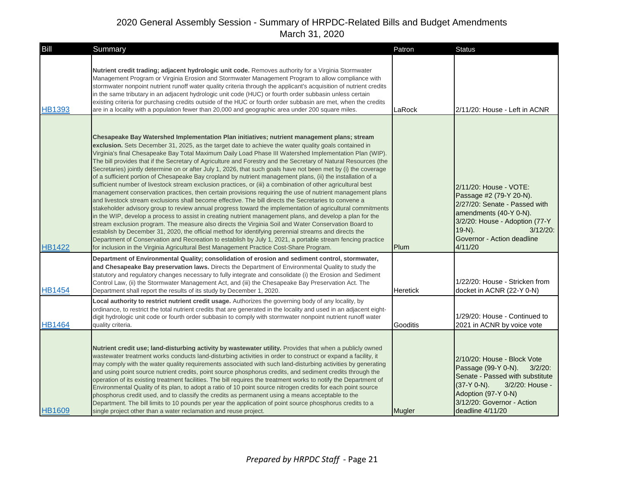| Bill          | Summary                                                                                                                                                                                                                                                                                                                                                                                                                                                                                                                                                                                                                                                                                                                                                                                                                                                                                                                                                                                                                                                                                                                                                                                                                                                                                                                                                                                                                                                                                                                                                                                                                                                        | Patron          | <b>Status</b>                                                                                                                                                                                                       |
|---------------|----------------------------------------------------------------------------------------------------------------------------------------------------------------------------------------------------------------------------------------------------------------------------------------------------------------------------------------------------------------------------------------------------------------------------------------------------------------------------------------------------------------------------------------------------------------------------------------------------------------------------------------------------------------------------------------------------------------------------------------------------------------------------------------------------------------------------------------------------------------------------------------------------------------------------------------------------------------------------------------------------------------------------------------------------------------------------------------------------------------------------------------------------------------------------------------------------------------------------------------------------------------------------------------------------------------------------------------------------------------------------------------------------------------------------------------------------------------------------------------------------------------------------------------------------------------------------------------------------------------------------------------------------------------|-----------------|---------------------------------------------------------------------------------------------------------------------------------------------------------------------------------------------------------------------|
| <b>HB1393</b> | Nutrient credit trading; adjacent hydrologic unit code. Removes authority for a Virginia Stormwater<br>Management Program or Virginia Erosion and Stormwater Management Program to allow compliance with<br>stormwater nonpoint nutrient runoff water quality criteria through the applicant's acquisition of nutrient credits<br>in the same tributary in an adjacent hydrologic unit code (HUC) or fourth order subbasin unless certain<br>existing criteria for purchasing credits outside of the HUC or fourth order subbasin are met, when the credits<br>are in a locality with a population fewer than 20,000 and geographic area under 200 square miles.                                                                                                                                                                                                                                                                                                                                                                                                                                                                                                                                                                                                                                                                                                                                                                                                                                                                                                                                                                                               | LaRock          | 2/11/20: House - Left in ACNR                                                                                                                                                                                       |
| <b>HB1422</b> | Chesapeake Bay Watershed Implementation Plan initiatives; nutrient management plans; stream<br>exclusion. Sets December 31, 2025, as the target date to achieve the water quality goals contained in<br>Virginia's final Chesapeake Bay Total Maximum Daily Load Phase III Watershed Implementation Plan (WIP).<br>The bill provides that if the Secretary of Agriculture and Forestry and the Secretary of Natural Resources (the<br>Secretaries) jointly determine on or after July 1, 2026, that such goals have not been met by (i) the coverage<br>of a sufficient portion of Chesapeake Bay cropland by nutrient management plans, (ii) the installation of a<br>sufficient number of livestock stream exclusion practices, or (iii) a combination of other agricultural best<br>management conservation practices, then certain provisions requiring the use of nutrient management plans<br>and livestock stream exclusions shall become effective. The bill directs the Secretaries to convene a<br>stakeholder advisory group to review annual progress toward the implementation of agricultural commitments<br>in the WIP, develop a process to assist in creating nutrient management plans, and develop a plan for the<br>stream exclusion program. The measure also directs the Virginia Soil and Water Conservation Board to<br>establish by December 31, 2020, the official method for identifying perennial streams and directs the<br>Department of Conservation and Recreation to establish by July 1, 2021, a portable stream fencing practice<br>for inclusion in the Virginia Agricultural Best Management Practice Cost-Share Program. | Plum            | 2/11/20: House - VOTE:<br>Passage #2 (79-Y 20-N).<br>2/27/20: Senate - Passed with<br>amendments (40-Y 0-N).<br>3/2/20: House - Adoption (77-Y<br>$19-N$ ).<br>$3/12/20$ :<br>Governor - Action deadline<br>4/11/20 |
| <b>HB1454</b> | Department of Environmental Quality; consolidation of erosion and sediment control, stormwater,<br>and Chesapeake Bay preservation laws. Directs the Department of Environmental Quality to study the<br>statutory and regulatory changes necessary to fully integrate and consolidate (i) the Erosion and Sediment<br>Control Law, (ii) the Stormwater Management Act, and (iii) the Chesapeake Bay Preservation Act. The<br>Department shall report the results of its study by December 1, 2020.                                                                                                                                                                                                                                                                                                                                                                                                                                                                                                                                                                                                                                                                                                                                                                                                                                                                                                                                                                                                                                                                                                                                                            | <b>Heretick</b> | 1/22/20: House - Stricken from<br>docket in ACNR (22-Y 0-N)                                                                                                                                                         |
| <b>HB1464</b> | Local authority to restrict nutrient credit usage. Authorizes the governing body of any locality, by<br>ordinance, to restrict the total nutrient credits that are generated in the locality and used in an adjacent eight-<br>digit hydrologic unit code or fourth order subbasin to comply with stormwater nonpoint nutrient runoff water<br>quality criteria.                                                                                                                                                                                                                                                                                                                                                                                                                                                                                                                                                                                                                                                                                                                                                                                                                                                                                                                                                                                                                                                                                                                                                                                                                                                                                               | Gooditis        | 1/29/20: House - Continued to<br>2021 in ACNR by voice vote                                                                                                                                                         |
| <b>HB1609</b> | Nutrient credit use; land-disturbing activity by wastewater utility. Provides that when a publicly owned<br>wastewater treatment works conducts land-disturbing activities in order to construct or expand a facility, it<br>may comply with the water quality requirements associated with such land-disturbing activities by generating<br>and using point source nutrient credits, point source phosphorus credits, and sediment credits through the<br>operation of its existing treatment facilities. The bill requires the treatment works to notify the Department of<br>Environmental Quality of its plan, to adopt a ratio of 10 point source nitrogen credits for each point source<br>phosphorus credit used, and to classify the credits as permanent using a means acceptable to the<br>Department. The bill limits to 10 pounds per year the application of point source phosphorus credits to a<br>single project other than a water reclamation and reuse project.                                                                                                                                                                                                                                                                                                                                                                                                                                                                                                                                                                                                                                                                             | Mugler          | 2/10/20: House - Block Vote<br>Passage (99-Y 0-N).<br>$3/2/20$ :<br>Senate - Passed with substitute<br>$(37-Y 0-N)$ .<br>3/2/20: House -<br>Adoption (97-Y 0-N)<br>3/12/20: Governor - Action<br>deadline 4/11/20   |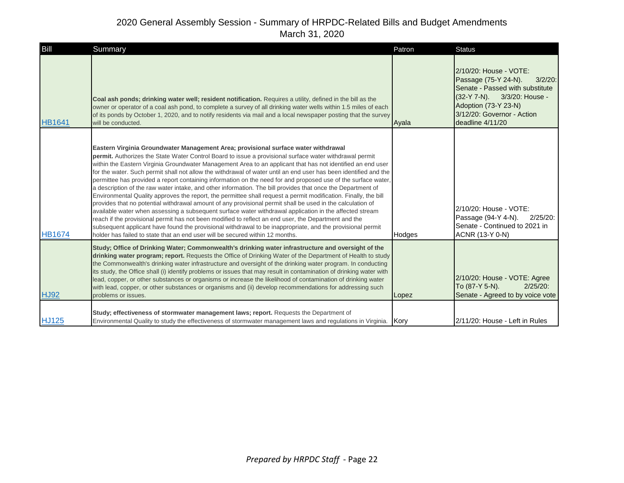| Bill          | Summary                                                                                                                                                                                                                                                                                                                                                                                                                                                                                                                                                                                                                                                                                                                                                                                                                                                                                                                                                                                                                                                                                                                                                                                                                                                                                                             | Patron | <b>Status</b>                                                                                                                                                                                            |
|---------------|---------------------------------------------------------------------------------------------------------------------------------------------------------------------------------------------------------------------------------------------------------------------------------------------------------------------------------------------------------------------------------------------------------------------------------------------------------------------------------------------------------------------------------------------------------------------------------------------------------------------------------------------------------------------------------------------------------------------------------------------------------------------------------------------------------------------------------------------------------------------------------------------------------------------------------------------------------------------------------------------------------------------------------------------------------------------------------------------------------------------------------------------------------------------------------------------------------------------------------------------------------------------------------------------------------------------|--------|----------------------------------------------------------------------------------------------------------------------------------------------------------------------------------------------------------|
| <b>HB1641</b> | Coal ash ponds; drinking water well; resident notification. Requires a utility, defined in the bill as the<br>owner or operator of a coal ash pond, to complete a survey of all drinking water wells within 1.5 miles of each<br>of its ponds by October 1, 2020, and to notify residents via mail and a local newspaper posting that the survey<br>will be conducted.                                                                                                                                                                                                                                                                                                                                                                                                                                                                                                                                                                                                                                                                                                                                                                                                                                                                                                                                              | Ayala  | 2/10/20: House - VOTE:<br>Passage (75-Y 24-N).<br>$3/2/20$ :<br>Senate - Passed with substitute<br>(32-Y 7-N). 3/3/20: House -<br>Adoption (73-Y 23-N)<br>3/12/20: Governor - Action<br>deadline 4/11/20 |
| <b>HB1674</b> | Eastern Virginia Groundwater Management Area; provisional surface water withdrawal<br>permit. Authorizes the State Water Control Board to issue a provisional surface water withdrawal permit<br>within the Eastern Virginia Groundwater Management Area to an applicant that has not identified an end user<br>for the water. Such permit shall not allow the withdrawal of water until an end user has been identified and the<br>permittee has provided a report containing information on the need for and proposed use of the surface water,<br>a description of the raw water intake, and other information. The bill provides that once the Department of<br>Environmental Quality approves the report, the permittee shall request a permit modification. Finally, the bill<br>provides that no potential withdrawal amount of any provisional permit shall be used in the calculation of<br>available water when assessing a subsequent surface water withdrawal application in the affected stream<br>reach if the provisional permit has not been modified to reflect an end user, the Department and the<br>subsequent applicant have found the provisional withdrawal to be inappropriate, and the provisional permit<br>holder has failed to state that an end user will be secured within 12 months. | Hodges | 2/10/20: House - VOTE:<br>Passage (94-Y 4-N).<br>$2/25/20$ :<br>Senate - Continued to 2021 in<br>ACNR (13-Y 0-N)                                                                                         |
| <b>HJ92</b>   | Study; Office of Drinking Water; Commonwealth's drinking water infrastructure and oversight of the<br>drinking water program; report. Requests the Office of Drinking Water of the Department of Health to study<br>the Commonwealth's drinking water infrastructure and oversight of the drinking water program. In conducting<br>its study, the Office shall (i) identify problems or issues that may result in contamination of drinking water with<br>lead, copper, or other substances or organisms or increase the likelihood of contamination of drinking water<br>with lead, copper, or other substances or organisms and (ii) develop recommendations for addressing such<br>problems or issues.                                                                                                                                                                                                                                                                                                                                                                                                                                                                                                                                                                                                           | Lopez  | 2/10/20: House - VOTE: Agree<br>To (87-Y 5-N).<br>$2/25/20$ :<br>Senate - Agreed to by voice vote                                                                                                        |
| <b>HJ125</b>  | Study; effectiveness of stormwater management laws; report. Requests the Department of<br>Environmental Quality to study the effectiveness of stormwater management laws and regulations in Virginia.                                                                                                                                                                                                                                                                                                                                                                                                                                                                                                                                                                                                                                                                                                                                                                                                                                                                                                                                                                                                                                                                                                               | Kory   | 2/11/20: House - Left in Rules                                                                                                                                                                           |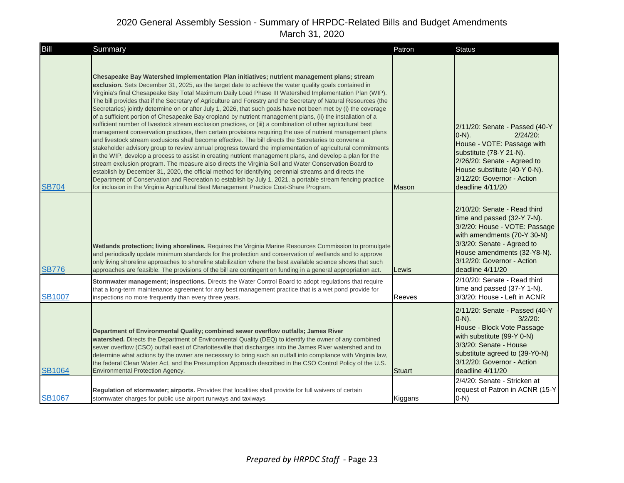| Bill          | Summary                                                                                                                                                                                                                                                                                                                                                                                                                                                                                                                                                                                                                                                                                                                                                                                                                                                                                                                                                                                                                                                                                                                                                                                                                                                                                                                                                                                                                                                                                                                                                                                                                                                        | Patron       | <b>Status</b>                                                                                                                                                                                                                              |
|---------------|----------------------------------------------------------------------------------------------------------------------------------------------------------------------------------------------------------------------------------------------------------------------------------------------------------------------------------------------------------------------------------------------------------------------------------------------------------------------------------------------------------------------------------------------------------------------------------------------------------------------------------------------------------------------------------------------------------------------------------------------------------------------------------------------------------------------------------------------------------------------------------------------------------------------------------------------------------------------------------------------------------------------------------------------------------------------------------------------------------------------------------------------------------------------------------------------------------------------------------------------------------------------------------------------------------------------------------------------------------------------------------------------------------------------------------------------------------------------------------------------------------------------------------------------------------------------------------------------------------------------------------------------------------------|--------------|--------------------------------------------------------------------------------------------------------------------------------------------------------------------------------------------------------------------------------------------|
| <b>SB704</b>  | Chesapeake Bay Watershed Implementation Plan initiatives; nutrient management plans; stream<br>exclusion. Sets December 31, 2025, as the target date to achieve the water quality goals contained in<br>Virginia's final Chesapeake Bay Total Maximum Daily Load Phase III Watershed Implementation Plan (WIP).<br>The bill provides that if the Secretary of Agriculture and Forestry and the Secretary of Natural Resources (the<br>Secretaries) jointly determine on or after July 1, 2026, that such goals have not been met by (i) the coverage<br>of a sufficient portion of Chesapeake Bay cropland by nutrient management plans, (ii) the installation of a<br>sufficient number of livestock stream exclusion practices, or (iii) a combination of other agricultural best<br>management conservation practices, then certain provisions requiring the use of nutrient management plans<br>and livestock stream exclusions shall become effective. The bill directs the Secretaries to convene a<br>stakeholder advisory group to review annual progress toward the implementation of agricultural commitments<br>in the WIP, develop a process to assist in creating nutrient management plans, and develop a plan for the<br>stream exclusion program. The measure also directs the Virginia Soil and Water Conservation Board to<br>establish by December 31, 2020, the official method for identifying perennial streams and directs the<br>Department of Conservation and Recreation to establish by July 1, 2021, a portable stream fencing practice<br>for inclusion in the Virginia Agricultural Best Management Practice Cost-Share Program. | <b>Mason</b> | 2/11/20: Senate - Passed (40-Y<br>$2/24/20$ :<br>$(0-N)$ .<br>House - VOTE: Passage with<br>substitute (78-Y 21-N).<br>2/26/20: Senate - Agreed to<br>House substitute (40-Y 0-N).<br>3/12/20: Governor - Action<br>deadline 4/11/20       |
| <b>SB776</b>  | Wetlands protection; living shorelines. Requires the Virginia Marine Resources Commission to promulgate<br>and periodically update minimum standards for the protection and conservation of wetlands and to approve<br>only living shoreline approaches to shoreline stabilization where the best available science shows that such<br>approaches are feasible. The provisions of the bill are contingent on funding in a general appropriation act.                                                                                                                                                                                                                                                                                                                                                                                                                                                                                                                                                                                                                                                                                                                                                                                                                                                                                                                                                                                                                                                                                                                                                                                                           | Lewis        | 2/10/20: Senate - Read third<br>time and passed (32-Y 7-N).<br>3/2/20: House - VOTE: Passage<br>with amendments (70-Y 30-N)<br>3/3/20: Senate - Agreed to<br>House amendments (32-Y8-N).<br>3/12/20: Governor - Action<br>deadline 4/11/20 |
| <b>SB1007</b> | Stormwater management; inspections. Directs the Water Control Board to adopt regulations that require<br>that a long-term maintenance agreement for any best management practice that is a wet pond provide for<br>inspections no more frequently than every three years.                                                                                                                                                                                                                                                                                                                                                                                                                                                                                                                                                                                                                                                                                                                                                                                                                                                                                                                                                                                                                                                                                                                                                                                                                                                                                                                                                                                      | Reeves       | 2/10/20: Senate - Read third<br>time and passed (37-Y 1-N).<br>3/3/20: House - Left in ACNR                                                                                                                                                |
| <b>SB1064</b> | Department of Environmental Quality; combined sewer overflow outfalls; James River<br>watershed. Directs the Department of Environmental Quality (DEQ) to identify the owner of any combined<br>sewer overflow (CSO) outfall east of Charlottesville that discharges into the James River watershed and to<br>determine what actions by the owner are necessary to bring such an outfall into compliance with Virginia law,<br>the federal Clean Water Act, and the Presumption Approach described in the CSO Control Policy of the U.S.<br><b>Environmental Protection Agency.</b>                                                                                                                                                                                                                                                                                                                                                                                                                                                                                                                                                                                                                                                                                                                                                                                                                                                                                                                                                                                                                                                                            | Stuart       | 2/11/20: Senate - Passed (40-Y<br>$3/2/20$ :<br>$(0-N)$ .<br>House - Block Vote Passage<br>with substitute (99-Y 0-N)<br>3/3/20: Senate - House<br>substitute agreed to (39-Y0-N)<br>3/12/20: Governor - Action<br>deadline 4/11/20        |
| <b>SB1067</b> | Regulation of stormwater; airports. Provides that localities shall provide for full waivers of certain<br>stormwater charges for public use airport runways and taxiways                                                                                                                                                                                                                                                                                                                                                                                                                                                                                                                                                                                                                                                                                                                                                                                                                                                                                                                                                                                                                                                                                                                                                                                                                                                                                                                                                                                                                                                                                       | Kiggans      | 2/4/20: Senate - Stricken at<br>request of Patron in ACNR (15-Y<br>$(0-N)$                                                                                                                                                                 |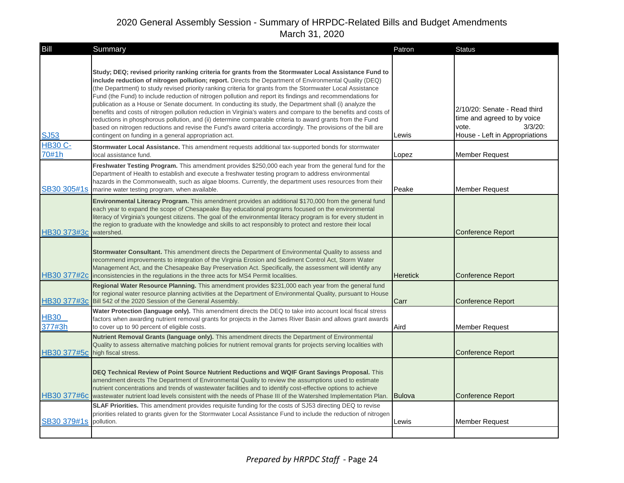| <b>Bill</b>                     | Summary                                                                                                                                                                                                                                                                                                                                                                                                                                                                                                                                                                                                                                                                                                                                                                                                                                                                                                                                                             | Patron          | <b>Status</b>                                                                                                        |
|---------------------------------|---------------------------------------------------------------------------------------------------------------------------------------------------------------------------------------------------------------------------------------------------------------------------------------------------------------------------------------------------------------------------------------------------------------------------------------------------------------------------------------------------------------------------------------------------------------------------------------------------------------------------------------------------------------------------------------------------------------------------------------------------------------------------------------------------------------------------------------------------------------------------------------------------------------------------------------------------------------------|-----------------|----------------------------------------------------------------------------------------------------------------------|
| <b>SJ53</b>                     | Study; DEQ; revised priority ranking criteria for grants from the Stormwater Local Assistance Fund to<br>include reduction of nitrogen pollution; report. Directs the Department of Environmental Quality (DEQ)<br>(the Department) to study revised priority ranking criteria for grants from the Stormwater Local Assistance<br>Fund (the Fund) to include reduction of nitrogen pollution and report its findings and recommendations for<br>publication as a House or Senate document. In conducting its study, the Department shall (i) analyze the<br>benefits and costs of nitrogen pollution reduction in Virginia's waters and compare to the benefits and costs of<br>reductions in phosphorous pollution, and (ii) determine comparable criteria to award grants from the Fund<br>based on nitrogen reductions and revise the Fund's award criteria accordingly. The provisions of the bill are<br>contingent on funding in a general appropriation act. | Lewis           | 2/10/20: Senate - Read third<br>time and agreed to by voice<br>$3/3/20$ :<br>vote.<br>House - Left in Appropriations |
| <b>HB30 C-</b><br>70#1h         | Stormwater Local Assistance. This amendment requests additional tax-supported bonds for stormwater<br>local assistance fund.                                                                                                                                                                                                                                                                                                                                                                                                                                                                                                                                                                                                                                                                                                                                                                                                                                        | Lopez           | <b>Member Request</b>                                                                                                |
| SB30 305#1s                     | Freshwater Testing Program. This amendment provides \$250,000 each year from the general fund for the<br>Department of Health to establish and execute a freshwater testing program to address environmental<br>hazards in the Commonwealth, such as algae blooms. Currently, the department uses resources from their<br>marine water testing program, when available.                                                                                                                                                                                                                                                                                                                                                                                                                                                                                                                                                                                             | Peake           | <b>Member Request</b>                                                                                                |
| HB30 373#3c                     | Environmental Literacy Program. This amendment provides an additional \$170,000 from the general fund<br>each year to expand the scope of Chesapeake Bay educational programs focused on the environmental<br>literacy of Virginia's youngest citizens. The goal of the environmental literacy program is for every student in<br>the region to graduate with the knowledge and skills to act responsibly to protect and restore their local<br>watershed.                                                                                                                                                                                                                                                                                                                                                                                                                                                                                                          |                 | <b>Conference Report</b>                                                                                             |
|                                 | Stormwater Consultant. This amendment directs the Department of Environmental Quality to assess and<br>recommend improvements to integration of the Virginia Erosion and Sediment Control Act, Storm Water<br>Management Act, and the Chesapeake Bay Preservation Act. Specifically, the assessment will identify any<br>HB30 377#2c inconsistencies in the regulations in the three acts for MS4 Permit localities.                                                                                                                                                                                                                                                                                                                                                                                                                                                                                                                                                | <b>Heretick</b> | <b>Conference Report</b>                                                                                             |
|                                 | Regional Water Resource Planning. This amendment provides \$231,000 each year from the general fund<br>for regional water resource planning activities at the Department of Environmental Quality, pursuant to House<br>HB30 377#3c Bill 542 of the 2020 Session of the General Assembly.                                                                                                                                                                                                                                                                                                                                                                                                                                                                                                                                                                                                                                                                           | Carr            | <b>Conference Report</b>                                                                                             |
| <b>HB30</b><br>377#3h           | Water Protection (language only). This amendment directs the DEQ to take into account local fiscal stress<br>factors when awarding nutrient removal grants for projects in the James River Basin and allows grant awards<br>to cover up to 90 percent of eligible costs.                                                                                                                                                                                                                                                                                                                                                                                                                                                                                                                                                                                                                                                                                            | Aird            | <b>Member Request</b>                                                                                                |
| HB30 377#5c high fiscal stress. | Nutrient Removal Grants (language only). This amendment directs the Department of Environmental<br>Quality to assess alternative matching policies for nutrient removal grants for projects serving localities with                                                                                                                                                                                                                                                                                                                                                                                                                                                                                                                                                                                                                                                                                                                                                 |                 | <b>Conference Report</b>                                                                                             |
|                                 | DEQ Technical Review of Point Source Nutrient Reductions and WQIF Grant Savings Proposal. This<br>amendment directs The Department of Environmental Quality to review the assumptions used to estimate<br>nutrient concentrations and trends of wastewater facilities and to identify cost-effective options to achieve<br>HB30 377#6c wastewater nutrient load levels consistent with the needs of Phase III of the Watershed Implementation Plan.                                                                                                                                                                                                                                                                                                                                                                                                                                                                                                                 | <b>Bulova</b>   | <b>Conference Report</b>                                                                                             |
| SB30 379#1s                     | <b>SLAF Priorities.</b> This amendment provides requisite funding for the costs of SJ53 directing DEQ to revise<br>priorities related to grants given for the Stormwater Local Assistance Fund to include the reduction of nitrogen<br>pollution.                                                                                                                                                                                                                                                                                                                                                                                                                                                                                                                                                                                                                                                                                                                   | Lewis           | <b>Member Request</b>                                                                                                |
|                                 |                                                                                                                                                                                                                                                                                                                                                                                                                                                                                                                                                                                                                                                                                                                                                                                                                                                                                                                                                                     |                 |                                                                                                                      |